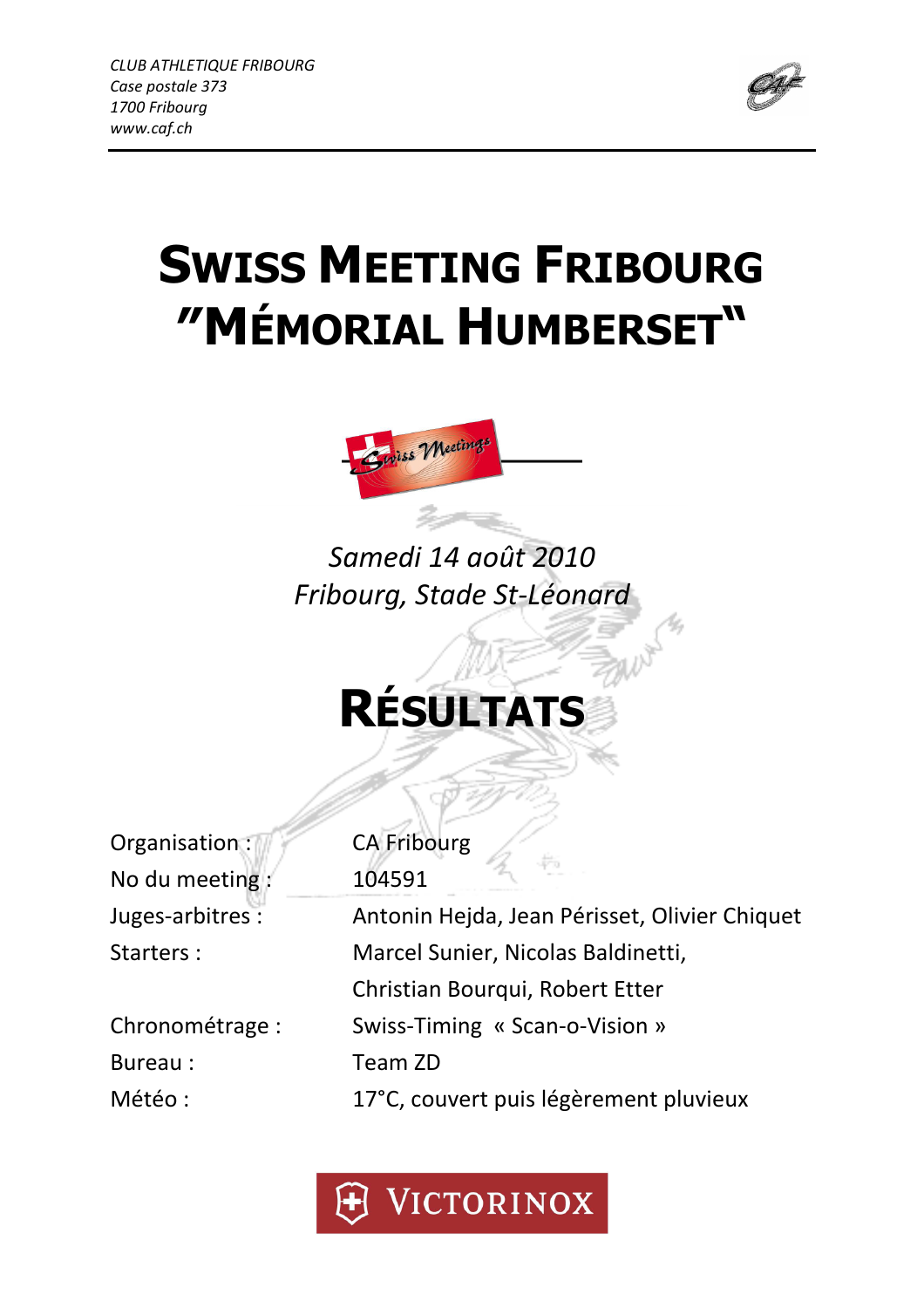

# SWISS MEETING FRIBOURG ″MÉMORIAL HUMBERSET"



## Samedi 14 août 2010 Fribourg, Stade St-Léonard

## RÉSULTATS

Organisation : CA Fribourg No du meeting : 104591

Bureau : Team ZD

Juges-arbitres : Antonin Hejda, Jean Périsset, Olivier Chiquet Starters : Marcel Sunier, Nicolas Baldinetti, Christian Bourqui, Robert Etter Chronométrage : Swiss-Timing « Scan-o-Vision » Météo : 17°C, couvert puis légèrement pluvieux

VICTORINOX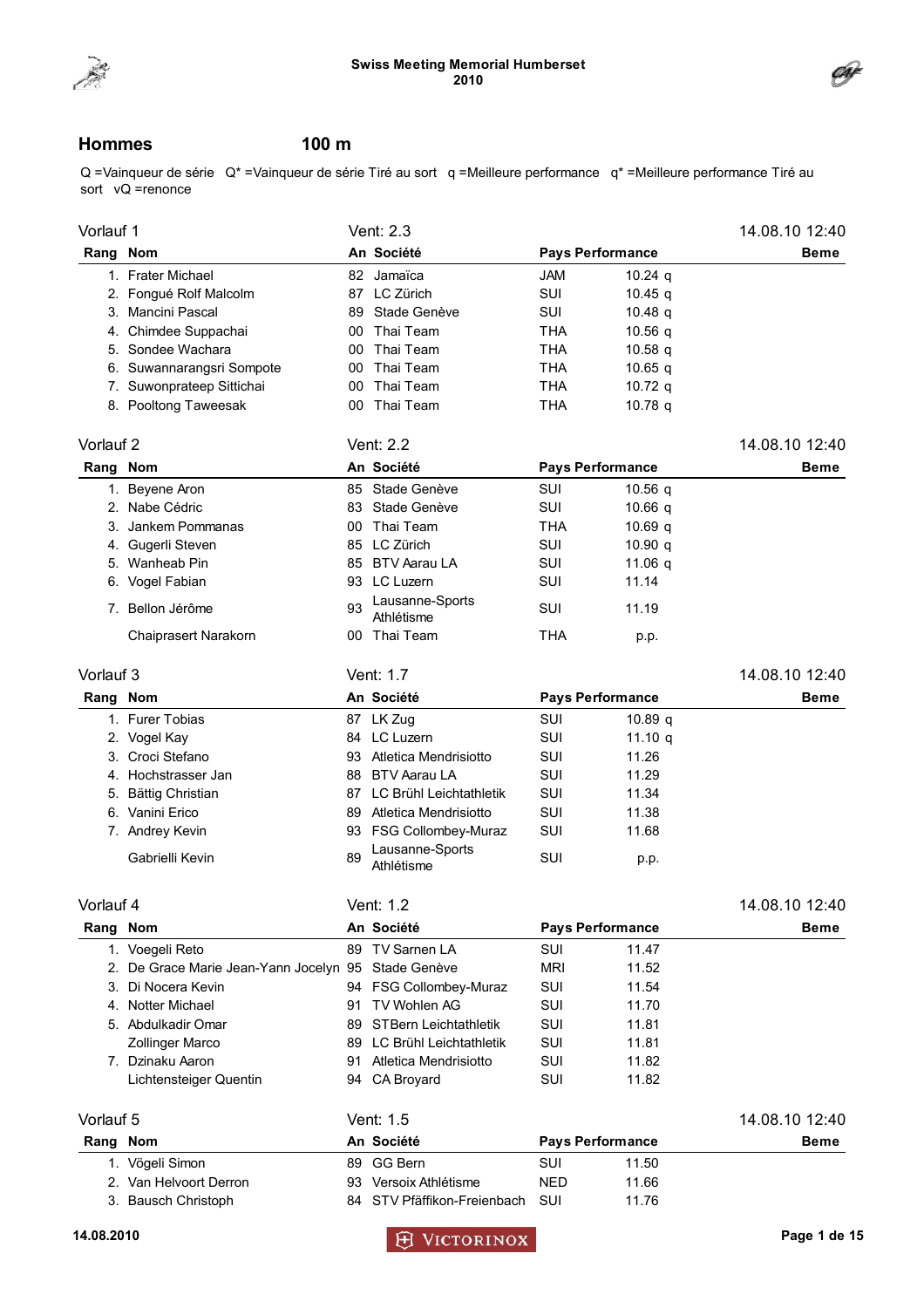



### Hommes 100 m

Q =Vainqueur de série Q\* =Vainqueur de série Tiré au sort q =Meilleure performance q\* =Meilleure performance Tiré au sort  $vQ$  =renonce

| Vorlauf 1 |                                        |     | Vent: 2.3                     |            |                         | 14.08.10 12:40 |
|-----------|----------------------------------------|-----|-------------------------------|------------|-------------------------|----------------|
| Rang Nom  |                                        |     | An Société                    |            | <b>Pays Performance</b> | Beme           |
|           | 1. Frater Michael                      |     | 82 Jamaïca                    | <b>JAM</b> | $10.24$ q               |                |
|           | 2. Fongué Rolf Malcolm                 |     | 87 LC Zürich                  | SUI        | 10.45 $q$               |                |
|           | 3. Mancini Pascal                      |     | 89 Stade Genève               | <b>SUI</b> | 10.48 $q$               |                |
|           | 4. Chimdee Suppachai                   |     | 00 Thai Team                  | THA        | 10.56 $q$               |                |
|           | 5. Sondee Wachara                      | 00  | Thai Team                     | <b>THA</b> | 10.58 $q$               |                |
|           | 6. Suwannarangsri Sompote              | 00  | Thai Team                     | THA        | $10.65$ q               |                |
|           | 7. Suwonprateep Sittichai              | 00  | Thai Team                     | <b>THA</b> | 10.72 $q$               |                |
|           | 8. Pooltong Taweesak                   | 00  | Thai Team                     | <b>THA</b> | 10.78 $q$               |                |
| Vorlauf 2 |                                        |     | Vent: 2.2                     |            |                         | 14.08.10 12:40 |
| Rang Nom  |                                        |     | An Société                    |            | <b>Pays Performance</b> | <b>Beme</b>    |
|           | 1. Beyene Aron                         |     | 85 Stade Genève               | SUI        | 10.56 $q$               |                |
|           | 2. Nabe Cédric                         |     | 83 Stade Genève               | SUI        | 10.66 $q$               |                |
|           | 3. Jankem Pommanas                     | 00  | Thai Team                     | <b>THA</b> | 10.69 $q$               |                |
|           | 4. Gugerli Steven                      |     | 85 LC Zürich                  | <b>SUI</b> | 10.90 $q$               |                |
|           | 5. Wanheab Pin                         |     | 85 BTV Aarau LA               | <b>SUI</b> | 11.06 q                 |                |
|           | 6. Vogel Fabian                        |     | 93 LC Luzern                  | <b>SUI</b> | 11.14                   |                |
|           | 7. Bellon Jérôme                       | 93  | Lausanne-Sports<br>Athlétisme | SUI        | 11.19                   |                |
|           | Chaiprasert Narakorn                   |     | 00 Thai Team                  | <b>THA</b> | p.p.                    |                |
| Vorlauf 3 |                                        |     | Vent: 1.7                     |            |                         | 14.08.10 12:40 |
| Rang Nom  |                                        |     | An Société                    |            | <b>Pays Performance</b> | Beme           |
|           | 1. Furer Tobias                        |     | 87 LK Zug                     | SUI        | 10.89 <sub>q</sub>      |                |
|           | 2. Vogel Kay                           |     | 84 LC Luzern                  | SUI        | 11.10 $q$               |                |
|           | 3. Croci Stefano                       |     | 93 Atletica Mendrisiotto      | SUI        | 11.26                   |                |
|           | 4. Hochstrasser Jan                    |     | 88 BTV Aarau LA               | SUI        | 11.29                   |                |
|           | 5. Bättig Christian                    |     | 87 LC Brühl Leichtathletik    | SUI        | 11.34                   |                |
|           | 6. Vanini Erico                        |     | 89 Atletica Mendrisiotto      | SUI        | 11.38                   |                |
|           | 7. Andrey Kevin                        |     | 93 FSG Collombey-Muraz        | SUI        | 11.68                   |                |
|           | Gabrielli Kevin                        | 89  | Lausanne-Sports<br>Athlétisme | SUI        | p.p.                    |                |
| Vorlauf 4 |                                        |     | Vent: 1.2                     |            |                         | 14.08.10 12:40 |
| Rang Nom  |                                        |     | An Société                    |            | <b>Pays Performance</b> | <b>Beme</b>    |
|           | 1. Voegeli Reto                        |     | 89 TV Sarnen LA               | SUI        | 11.47                   |                |
|           | 2. De Grace Marie Jean-Yann Jocelyn 95 |     | Stade Genève                  | <b>MRI</b> | 11.52                   |                |
|           | 3. Di Nocera Kevin                     |     | 94 FSG Collombey-Muraz        | SUI        | 11.54                   |                |
|           | 4. Notter Michael                      | 91  | TV Wohlen AG                  | SUI        | 11.70                   |                |
|           | 5. Abdulkadir Omar                     | 89  | <b>STBern Leichtathletik</b>  | SUI        | 11.81                   |                |
|           | Zollinger Marco                        | 89  | LC Brühl Leichtathletik       | SUI        | 11.81                   |                |
|           | 7. Dzinaku Aaron                       | 91  | Atletica Mendrisiotto         | SUI        | 11.82                   |                |
|           | Lichtensteiger Quentin                 |     | 94 CA Broyard                 | SUI        | 11.82                   |                |
| Vorlauf 5 |                                        |     | Vent: 1.5                     |            |                         | 14.08.10 12:40 |
| Rang Nom  |                                        |     | An Société                    |            | <b>Pays Performance</b> | Beme           |
|           | 1. Vögeli Simon                        |     | 89 GG Bern                    | SUI        | 11.50                   |                |
|           | 2. Van Helvoort Derron                 |     | 93 Versoix Athlétisme         | <b>NED</b> | 11.66                   |                |
|           | 3. Bausch Christoph                    | 84. | STV Pfäffikon-Freienbach      | SUI        | 11.76                   |                |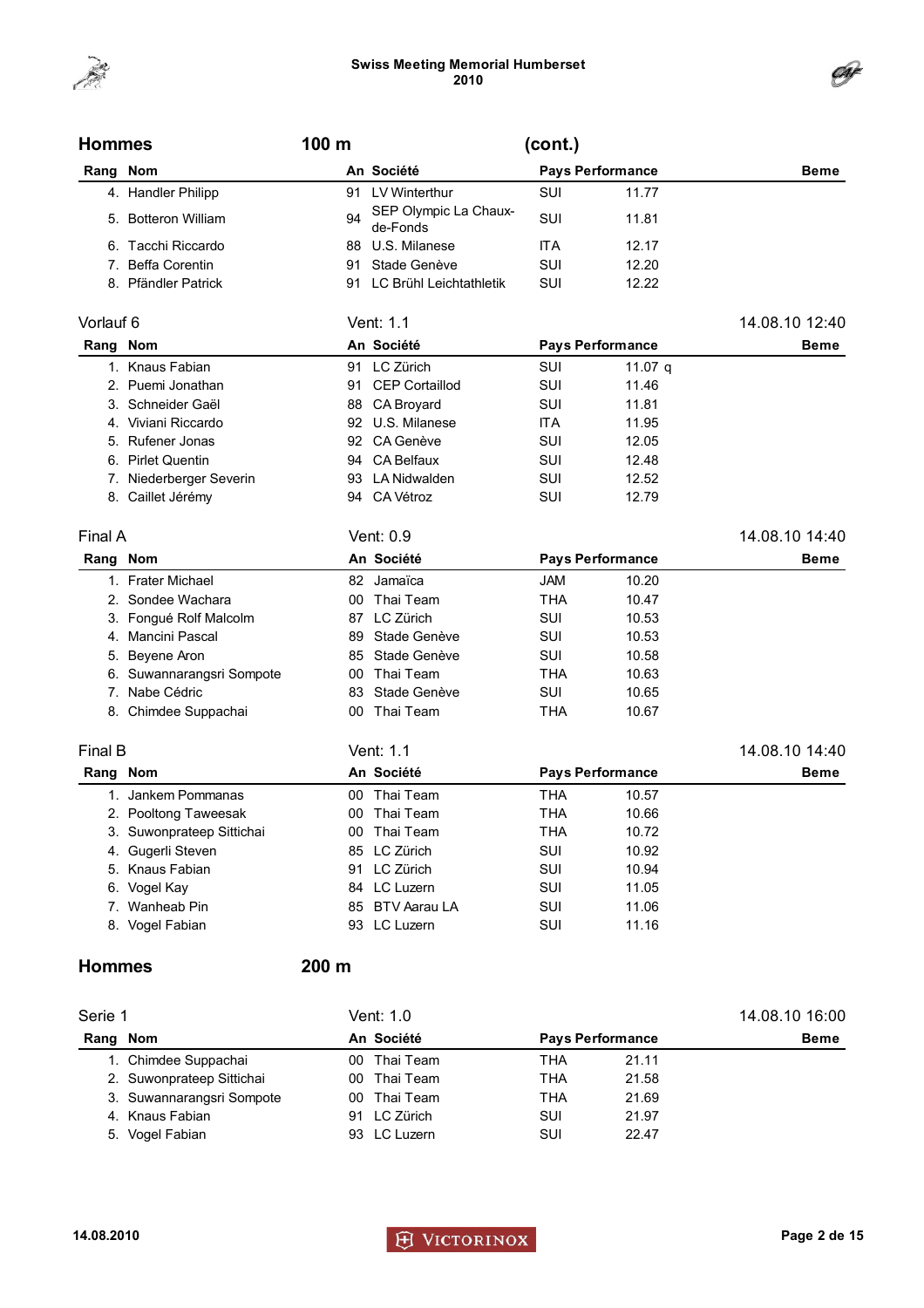



| <b>Hommes</b> |                           | 100 m |                                   | (cont.)    |                         |                |
|---------------|---------------------------|-------|-----------------------------------|------------|-------------------------|----------------|
| Rang Nom      |                           |       | An Société                        |            | <b>Pays Performance</b> | Beme           |
|               | 4. Handler Philipp        |       | 91 LV Winterthur                  | SUI        | 11.77                   |                |
|               | 5. Botteron William       | 94    | SEP Olympic La Chaux-<br>de-Fonds | SUI        | 11.81                   |                |
| 6.            | Tacchi Riccardo           |       | 88 U.S. Milanese                  | ITA        | 12.17                   |                |
|               | 7. Beffa Corentin         | 91    | Stade Genève                      | SUI        | 12.20                   |                |
|               | 8. Pfändler Patrick       |       | 91 LC Brühl Leichtathletik        | SUI        | 12.22                   |                |
| Vorlauf 6     |                           |       | Vent: 1.1                         |            |                         | 14.08.10 12:40 |
| Rang Nom      |                           |       | An Société                        |            | <b>Pays Performance</b> | <b>Beme</b>    |
|               | 1. Knaus Fabian           |       | 91 LC Zürich                      | SUI        | 11.07 q                 |                |
|               | 2. Puemi Jonathan         |       | 91 CEP Cortaillod                 | <b>SUI</b> | 11.46                   |                |
|               | 3. Schneider Gaël         |       | 88 CA Broyard                     | SUI        | 11.81                   |                |
|               | 4. Viviani Riccardo       |       | 92 U.S. Milanese                  | ITA        | 11.95                   |                |
|               | 5. Rufener Jonas          |       | 92 CA Genève                      | SUI        | 12.05                   |                |
|               | 6. Pirlet Quentin         |       | 94 CA Belfaux                     | SUI        | 12.48                   |                |
|               | 7. Niederberger Severin   |       | 93 LA Nidwalden                   | SUI        | 12.52                   |                |
|               | 8. Caillet Jérémy         |       | 94 CA Vétroz                      | SUI        | 12.79                   |                |
| Final A       |                           |       | Vent: 0.9                         |            |                         | 14.08.10 14:40 |
| Rang Nom      |                           |       | An Société                        |            | <b>Pays Performance</b> | <b>Beme</b>    |
|               | 1. Frater Michael         |       | 82 Jamaïca                        | <b>JAM</b> | 10.20                   |                |
|               | 2. Sondee Wachara         |       | 00 Thai Team                      | <b>THA</b> | 10.47                   |                |
|               | 3. Fongué Rolf Malcolm    |       | 87 LC Zürich                      | SUI        | 10.53                   |                |
|               | 4. Mancini Pascal         | 89    | Stade Genève                      | SUI        | 10.53                   |                |
|               | 5. Beyene Aron            | 85    | Stade Genève                      | SUI        | 10.58                   |                |
|               | 6. Suwannarangsri Sompote | 00    | Thai Team                         | <b>THA</b> | 10.63                   |                |
|               | 7. Nabe Cédric            | 83    | Stade Genève                      | SUI        | 10.65                   |                |
|               | 8. Chimdee Suppachai      |       | 00 Thai Team                      | <b>THA</b> | 10.67                   |                |
| Final B       |                           |       | Vent: 1.1                         |            |                         | 14.08.10 14:40 |
| Rang Nom      |                           |       | An Société                        |            | <b>Pays Performance</b> | <b>Beme</b>    |
|               | 1. Jankem Pommanas        | 00    | Thai Team                         | <b>THA</b> | 10.57                   |                |
|               | 2. Pooltong Taweesak      |       | 00 Thai Team                      | THA        | 10.66                   |                |
|               | 3. Suwonprateep Sittichai |       | 00 Thai Team                      | <b>THA</b> | 10.72                   |                |
|               | 4. Gugerli Steven         |       | 85 LC Zürich                      | SUI        | 10.92                   |                |
|               | 5. Knaus Fabian           |       | 91 LC Zürich                      | SUI        | 10.94                   |                |
|               | 6. Vogel Kay              |       | 84 LC Luzern                      | SUI        | 11.05                   |                |
|               | 7. Wanheab Pin            |       | 85 BTV Aarau LA                   | SUI        | 11.06                   |                |
|               | 8. Vogel Fabian           |       | 93 LC Luzern                      | SUI        | 11.16                   |                |
| <b>Hommes</b> |                           | 200 m |                                   |            |                         |                |

| Serie 1  |                           |    | Vent: 1.0    | 14.08.10 16:00          |       |             |
|----------|---------------------------|----|--------------|-------------------------|-------|-------------|
| Rang Nom |                           |    | An Société   | <b>Pays Performance</b> |       | <b>Beme</b> |
|          | 1. Chimdee Suppachai      |    | 00 Thai Team | THA                     | 21.11 |             |
|          | 2. Suwonprateep Sittichai |    | 00 Thai Team | THA                     | 21.58 |             |
|          | 3. Suwannarangsri Sompote |    | 00 Thai Team | THA                     | 21.69 |             |
|          | 4. Knaus Fabian           | 91 | LC Zürich    | SUI                     | 21.97 |             |
|          | 5. Vogel Fabian           |    | 93 LC Luzern | SUI                     | 22.47 |             |

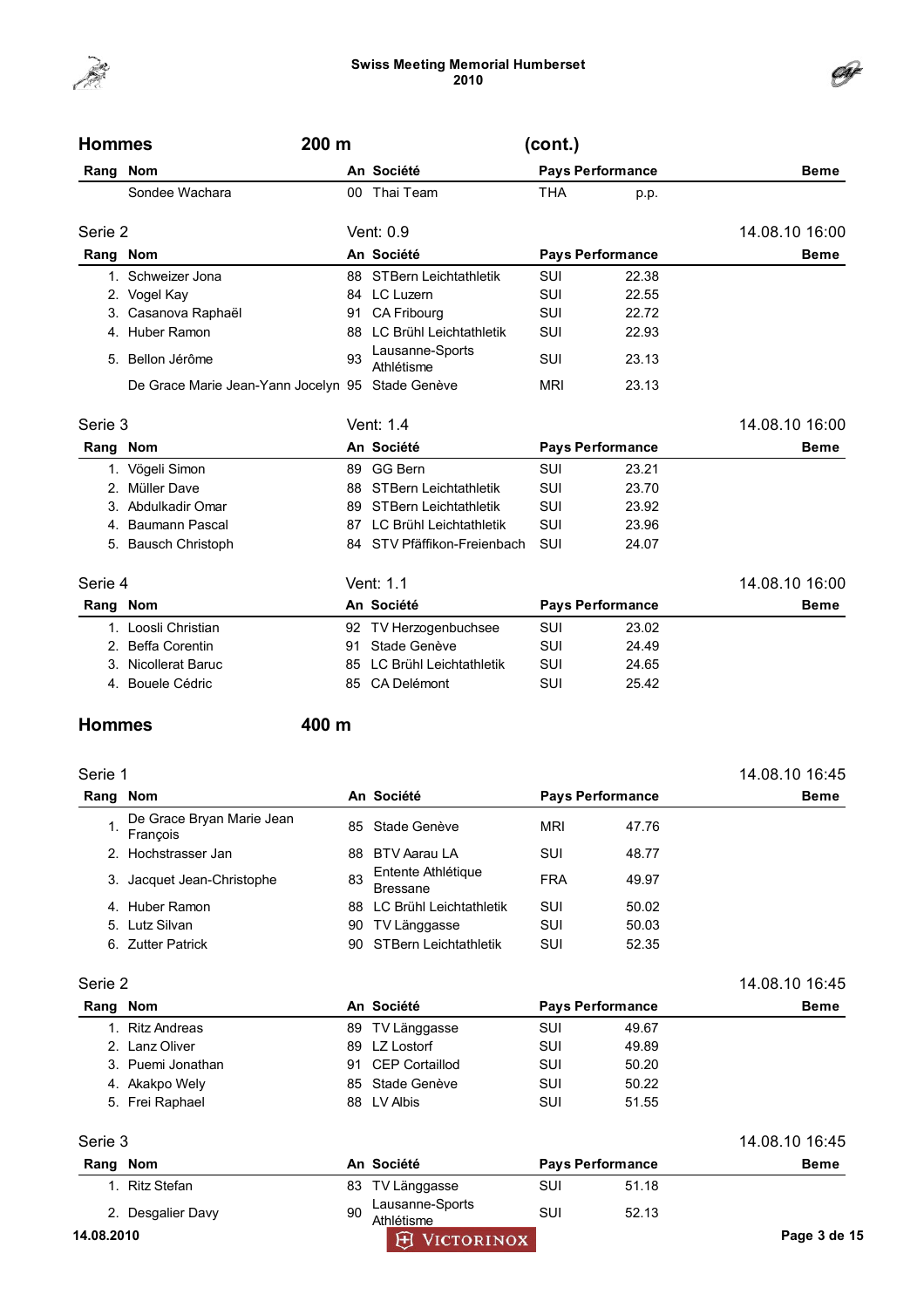

| <b>Hommes</b> | 200 m                                            |    |                                | (cont.)    |                         |                |
|---------------|--------------------------------------------------|----|--------------------------------|------------|-------------------------|----------------|
| Rang Nom      |                                                  |    | An Société                     |            | <b>Pays Performance</b> | <b>Beme</b>    |
|               | Sondee Wachara                                   |    | 00 Thai Team                   | <b>THA</b> | p.p.                    |                |
| Serie 2       |                                                  |    | Vent: $0.9$                    |            |                         | 14.08.10 16:00 |
| Rang Nom      |                                                  |    | An Société                     |            | <b>Pays Performance</b> | <b>Beme</b>    |
|               | 1. Schweizer Jona                                | 88 | <b>STBern Leichtathletik</b>   | SUI        | 22.38                   |                |
|               | 2. Vogel Kay                                     |    | 84 LC Luzern                   | SUI        | 22.55                   |                |
|               | 3. Casanova Raphaël                              | 91 | CA Fribourg                    | SUI        | 22.72                   |                |
|               | 4. Huber Ramon                                   | 88 | LC Brühl Leichtathletik        | SUI        | 22.93                   |                |
| 5.            | Bellon Jérôme                                    | 93 | Lausanne-Sports<br>Athlétisme  | SUI        | 23.13                   |                |
|               | De Grace Marie Jean-Yann Jocelyn 95 Stade Genève |    |                                | <b>MRI</b> | 23.13                   |                |
| Serie 3       |                                                  |    | Vent: 1.4                      |            |                         | 14.08.10 16:00 |
| Rang          | <b>Nom</b>                                       |    | An Société                     |            | <b>Pays Performance</b> | <b>Beme</b>    |
|               | 1. Vögeli Simon                                  | 89 | GG Bern                        | SUI        | 23.21                   |                |
|               | 2. Müller Dave                                   | 88 | <b>STBern Leichtathletik</b>   | SUI        | 23.70                   |                |
|               | 3. Abdulkadir Omar                               | 89 | <b>STBern Leichtathletik</b>   | SUI        | 23.92                   |                |
| 4.            | <b>Baumann Pascal</b>                            | 87 | LC Brühl Leichtathletik        | SUI        | 23.96                   |                |
| 5.            | <b>Bausch Christoph</b>                          |    | 84 STV Pfäffikon-Freienbach    | SUI        | 24.07                   |                |
| Serie 4       |                                                  |    | Vent: 1.1                      |            |                         | 14.08.10 16:00 |
| Rang Nom      |                                                  |    | An Société                     |            | <b>Pays Performance</b> | <b>Beme</b>    |
|               | 1. Loosli Christian                              |    | 92 TV Herzogenbuchsee          | SUI        | 23.02                   |                |
|               | 2. Beffa Corentin                                | 91 | Stade Genève                   | <b>SUI</b> | 24.49                   |                |
|               | Nicollerat Baruc                                 | 85 | <b>LC Brühl Leichtathletik</b> | SUI        | 24.65                   |                |
| 4.            | Bouele Cédric                                    | 85 | <b>CA Delémont</b>             | SUI        | 25.42                   |                |

### Hommes 400 m

| Serie 1 |                                       |                                       |                                       |            |             | 14.08.10 16:45 |
|---------|---------------------------------------|---------------------------------------|---------------------------------------|------------|-------------|----------------|
| Rang    | Nom                                   | An Société<br><b>Pays Performance</b> |                                       |            | <b>Beme</b> |                |
|         | De Grace Bryan Marie Jean<br>François | 85.                                   | Stade Genève                          | <b>MRI</b> | 47.76       |                |
|         | 2. Hochstrasser Jan                   | 88                                    | <b>BTV Aarau LA</b>                   | <b>SUI</b> | 48.77       |                |
|         | 3. Jacquet Jean-Christophe            | 83                                    | Entente Athlétique<br><b>Bressane</b> | <b>FRA</b> | 49.97       |                |
|         | 4. Huber Ramon                        | 88                                    | LC Brühl Leichtathletik               | SUI        | 50.02       |                |
|         | 5. Lutz Silvan                        | 90                                    | TV Länggasse                          | SUI        | 50.03       |                |
|         | 6. Zutter Patrick                     | 90.                                   | <b>STBern Leichtathletik</b>          | <b>SUI</b> | 52.35       |                |
| Serie 2 |                                       |                                       |                                       |            |             | 14.08.10 16:45 |

| Rang Nom |                   | An Société        | <b>Pays Performance</b> |       | <b>Beme</b> |
|----------|-------------------|-------------------|-------------------------|-------|-------------|
|          | 1. Ritz Andreas   | 89 TV Länggasse   | SUI                     | 49.67 |             |
|          | 2. Lanz Oliver    | 89 LZ Lostorf     | <b>SUI</b>              | 49.89 |             |
|          | 3. Puemi Jonathan | 91 CEP Cortaillod | <b>SUI</b>              | 50.20 |             |
|          | 4. Akakpo Wely    | 85 Stade Genève   | SUI                     | 50.22 |             |
|          | 5. Frei Raphael   | 88 LV Albis       | SUI                     | 51.55 |             |

| erie |  |
|------|--|
|      |  |

|            | Serie 3           |    |                               |     |                         |              |  |
|------------|-------------------|----|-------------------------------|-----|-------------------------|--------------|--|
| Rang Nom   |                   |    | An Société                    |     | <b>Pays Performance</b> | <b>Beme</b>  |  |
|            | ı.  Ritz Stefan I |    | 83 TV Länggasse               | SUI | 51.18                   |              |  |
|            | 2. Desgalier Davy | 90 | Lausanne-Sports<br>Athlétisme | SUI | 52.13                   |              |  |
| 14.08.2010 |                   |    | <b>H</b> VICTORINOX           |     |                         | Page 3 de 15 |  |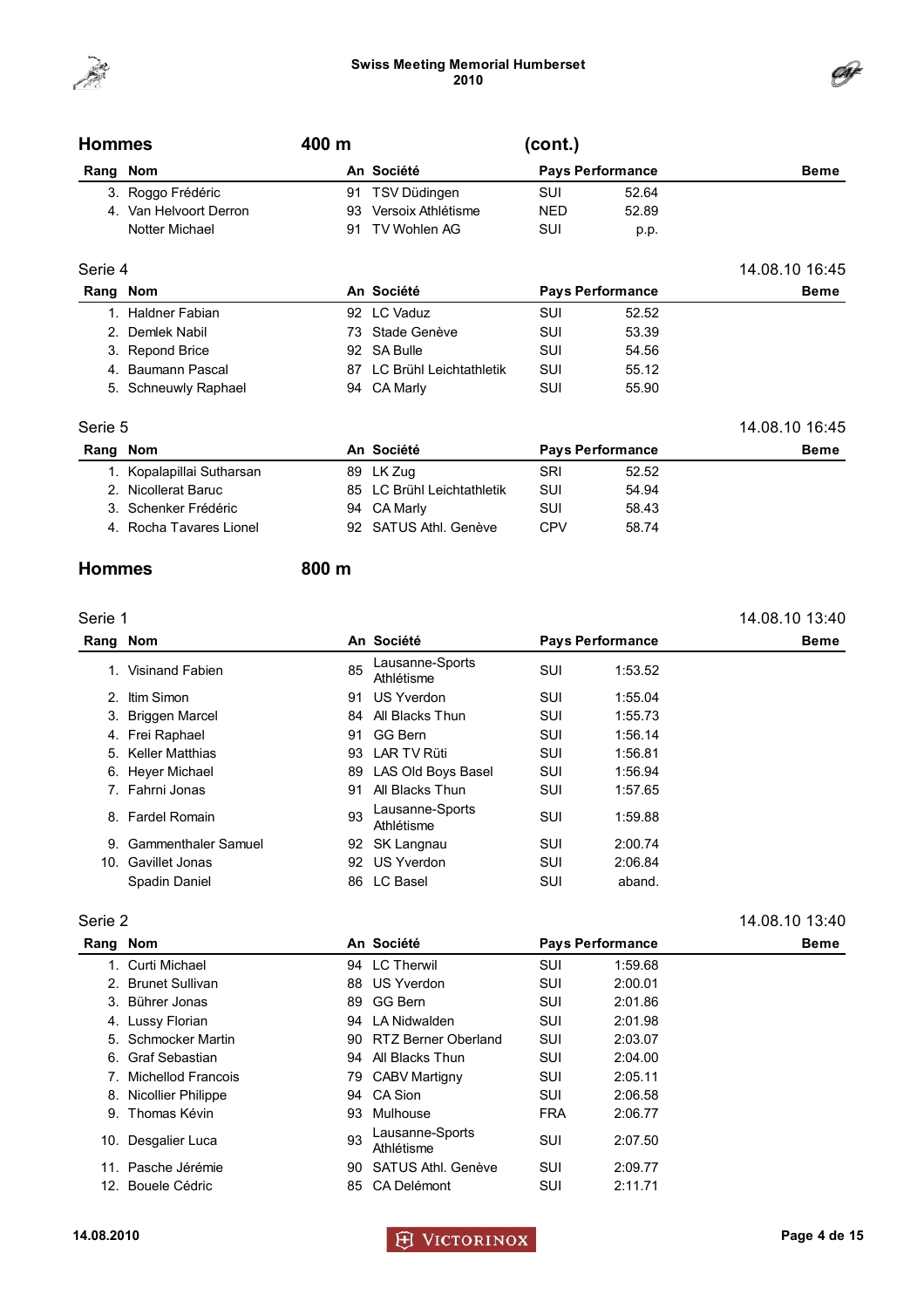



| <b>Hommes</b> |                        | 400 m |                    | (cont.)    |                         |                |
|---------------|------------------------|-------|--------------------|------------|-------------------------|----------------|
| Rang          | <b>Nom</b>             |       | An Société         |            | <b>Pays Performance</b> | <b>Beme</b>    |
|               | 3. Roggo Frédéric      |       | 91 TSV Düdingen    | SUI        | 52.64                   |                |
|               | 4. Van Helvoort Derron | 93    | Versoix Athlétisme | <b>NED</b> | 52.89                   |                |
|               | Notter Michael         | 91    | TV Wohlen AG       | <b>SUI</b> | p.p.                    |                |
| Serie 4       |                        |       |                    |            |                         | 14.08.10 16:45 |
| Rang Nom      |                        |       | An Société         |            | <b>Pays Performance</b> | <b>Beme</b>    |

| Rang Nom |                      | An Société<br><b>Pays Performance</b> |                            | <b>Beme</b> |       |  |
|----------|----------------------|---------------------------------------|----------------------------|-------------|-------|--|
|          | 1. Haldner Fabian    |                                       | 92 LC Vaduz                | SUI         | 52.52 |  |
|          | 2. Demlek Nabil      |                                       | 73 Stade Genève            | SUI         | 53.39 |  |
|          | 3. Repond Brice      |                                       | 92 SA Bulle                | SUI         | 54.56 |  |
|          | 4. Baumann Pascal    |                                       | 87 LC Brühl Leichtathletik | SUI         | 55.12 |  |
|          | 5. Schneuwly Raphael |                                       | 94 CA Marly                | SUI         | 55.90 |  |

#### Serie 5 14.08.10 16:45

| Rang Nom |                           | An Société                 | <b>Pays Performance</b> |       | <b>Beme</b> |
|----------|---------------------------|----------------------------|-------------------------|-------|-------------|
|          | 1. Kopalapillai Sutharsan | 89 LK Zug                  | SRI                     | 52.52 |             |
|          | 2. Nicollerat Baruc       | 85 LC Brühl Leichtathletik | SUI                     | 54.94 |             |
|          | 3. Schenker Frédéric      | 94 CA Marly                | SUI                     | 58.43 |             |
|          | 4. Rocha Tavares Lionel   | 92 SATUS Athl. Genève      | CPV                     | 58.74 |             |

### Hommes 800 m

#### Serie 1 14.08.10 13:40 Rang Nom **An Société** Pays Performance Beme 1. Visinand Fabien 85 Lausanne-Sports Lausanne-Sports<br>Athlétisme SUI 1:53.52 2. Itim Simon 91 US Yverdon SUI 1:55.04 3. Briggen Marcel **84 All Blacks Thun** SUI 1:55.73 4. Frei Raphael 91 GG Bern SUI 1:56.14 5. Keller Matthias **6. Matthias** 93 LAR TV Rüti **SUI** 1:56.81 6. Heyer Michael 89 LAS Old Boys Basel SUI 1:56.94 7. Fahrni Jonas 91 All Blacks Thun SUI 1:57.65 8. Fardel Romain 93 Lausanne-Sports Lausanne-Sports<br>Athlétisme SUI 1:59.88 9. Gammenthaler Samuel 92 SK Langnau SUI 2:00.74 10. Gavillet Jonas 92 US Yverdon SUI 2:06.84 Spadin Daniel **86 LC Basel** SUI aband.

#### Serie 2 14.08.10 13:40

j.

| Rang Nom |                       |    | An Société                    | <b>Pays Performance</b> |         | <b>Beme</b> |
|----------|-----------------------|----|-------------------------------|-------------------------|---------|-------------|
|          | 1. Curti Michael      |    | 94 LC Therwil                 | <b>SUI</b>              | 1:59.68 |             |
|          | 2. Brunet Sullivan    | 88 | US Yverdon                    | SUI                     | 2:00.01 |             |
|          | 3. Bührer Jonas       | 89 | GG Bern                       | SUI                     | 2:01.86 |             |
|          | 4. Lussy Florian      | 94 | LA Nidwalden                  | SUI                     | 2:01.98 |             |
|          | 5. Schmocker Martin   |    | 90 RTZ Berner Oberland        | SUI                     | 2:03.07 |             |
|          | 6. Graf Sebastian     | 94 | All Blacks Thun               | SUI                     | 2:04.00 |             |
|          | 7. Michellod Francois |    | 79 CABV Martigny              | SUI                     | 2:05.11 |             |
|          | 8. Nicollier Philippe | 94 | CA Sion                       | SUI                     | 2:06.58 |             |
| 9.       | Thomas Kévin          | 93 | Mulhouse                      | <b>FRA</b>              | 2:06.77 |             |
| 10.      | Desgalier Luca        | 93 | Lausanne-Sports<br>Athlétisme | SUI                     | 2:07.50 |             |
|          | 11. Pasche Jérémie    | 90 | SATUS Athl. Genève            | SUI                     | 2:09.77 |             |
|          | 12. Bouele Cédric     | 85 | CA Delémont                   | SUI                     | 2:11.71 |             |

14.08.2010 Page 4 de 15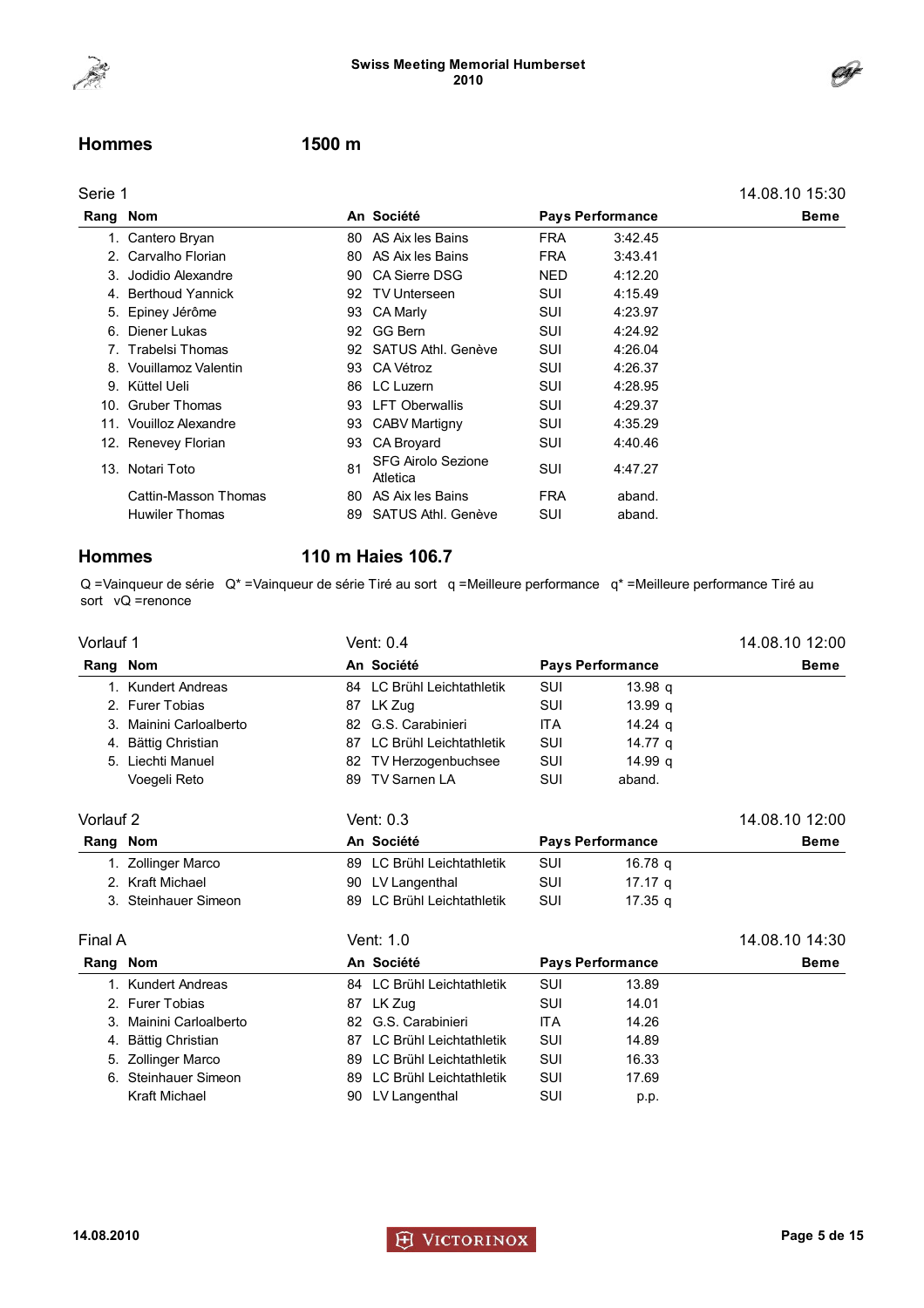



#### Hommes 1500 m

| Serie 1 |                        |     |                                       |                         |         | 14.08.10 15:30 |
|---------|------------------------|-----|---------------------------------------|-------------------------|---------|----------------|
| Rang    | Nom                    |     | An Société                            | <b>Pays Performance</b> |         | <b>Beme</b>    |
|         | 1. Cantero Bryan       |     | 80 AS Aix les Bains                   | <b>FRA</b>              | 3:42.45 |                |
|         | 2. Carvalho Florian    |     | 80 AS Aix les Bains                   | <b>FRA</b>              | 3:43.41 |                |
|         | 3. Jodidio Alexandre   | 90  | <b>CA Sierre DSG</b>                  | <b>NED</b>              | 4:12.20 |                |
|         | 4. Berthoud Yannick    | 92  | <b>TV Unterseen</b>                   | SUI                     | 4:15.49 |                |
|         | 5. Epiney Jérôme       | 93  | <b>CA Marly</b>                       | SUI                     | 4:23.97 |                |
|         | 6. Diener Lukas        | 92  | GG Bern                               | SUI                     | 4:24.92 |                |
|         | 7. Trabelsi Thomas     | 92  | SATUS Athl. Genève                    | SUI                     | 4:26.04 |                |
|         | 8. Vouillamoz Valentin |     | 93 CA Vétroz                          | SUI                     | 4:26.37 |                |
|         | 9. Küttel Ueli         | 86  | LC Luzern                             | SUI                     | 4:28.95 |                |
|         | 10. Gruber Thomas      | 93. | <b>LFT Oberwallis</b>                 | SUI                     | 4:29.37 |                |
|         | 11. Vouilloz Alexandre | 93  | <b>CABV Martigny</b>                  | SUI                     | 4:35.29 |                |
|         | 12. Renevey Florian    | 93. | CA Broyard                            | SUI                     | 4:40.46 |                |
|         | 13. Notari Toto        | 81  | <b>SFG Airolo Sezione</b><br>Atletica | SUI                     | 4:47.27 |                |
|         | Cattin-Masson Thomas   | 80  | AS Aix les Bains                      | <b>FRA</b>              | aband.  |                |
|         | <b>Huwiler Thomas</b>  | 89  | SATUS Athl. Genève                    | SUI                     | aband.  |                |
|         |                        |     |                                       |                         |         |                |

### Hommes 110 m Haies 106.7

Q =Vainqueur de série Q\* =Vainqueur de série Tiré au sort q =Meilleure performance q\* =Meilleure performance Tiré au sort vQ =renonce

| Vorlauf 1   |                         |     | Vent: 0.4                  |            |                         | 14.08.10 12:00 |
|-------------|-------------------------|-----|----------------------------|------------|-------------------------|----------------|
| Rang Nom    |                         |     | An Société                 |            | <b>Pays Performance</b> | <b>Beme</b>    |
| $1_{-}$     | <b>Kundert Andreas</b>  |     | 84 LC Brühl Leichtathletik | SUI        | 13.98 <sub>q</sub>      |                |
| $2^{\circ}$ | <b>Furer Tobias</b>     |     | 87 LK Zug                  | SUI        | 13.99 a                 |                |
| 3.          | Mainini Carloalberto    | 82  | G.S. Carabinieri           | <b>ITA</b> | 14.24 $q$               |                |
| 4.          | <b>Bättig Christian</b> | 87  | LC Brühl Leichtathletik    | SUI        | 14.77 q                 |                |
| 5.          | Liechti Manuel          | 82  | TV Herzogenbuchsee         | SUI        | 14.99 a                 |                |
|             | Voegeli Reto            | 89  | <b>TV Sarnen LA</b>        | SUI        | aband.                  |                |
| Vorlauf 2   |                         |     | Vent: 0.3                  |            |                         | 14.08.10 12:00 |
| Rang Nom    |                         |     | An Société                 |            | <b>Pays Performance</b> | <b>Beme</b>    |
| 1.          | <b>Zollinger Marco</b>  |     | 89 LC Brühl Leichtathletik | SUI        | 16.78 q                 |                |
| $2^{\circ}$ | <b>Kraft Michael</b>    |     | 90 LV Langenthal           | SUI        | 17.17 <sub>a</sub>      |                |
|             | 3. Steinhauer Simeon    | 89  | LC Brühl Leichtathletik    | SUI        | 17.35 a                 |                |
| Final A     |                         |     | Vent: 1.0                  |            |                         | 14.08.10 14:30 |
| Rang Nom    |                         |     | An Société                 |            | <b>Pays Performance</b> | <b>Beme</b>    |
| $1_{-}$     | <b>Kundert Andreas</b>  |     | 84 LC Brühl Leichtathletik | SUI        | 13.89                   |                |
| 2.          | <b>Furer Tobias</b>     | 87  | LK Zug                     | SUI        | 14.01                   |                |
| 3.          | Mainini Carloalberto    | 82. | G.S. Carabinieri           | <b>ITA</b> | 14.26                   |                |
| 4.          | <b>Bättig Christian</b> | 87  | LC Brühl Leichtathletik    | SUI        | 14.89                   |                |
| 5.          | <b>Zollinger Marco</b>  | 89  | LC Brühl Leichtathletik    | SUI        | 16.33                   |                |
| 6.          | Steinhauer Simeon       | 89  | LC Brühl Leichtathletik    | SUI        | 17.69                   |                |
|             | Kraft Michael           | 90  | LV Langenthal              | SUI        | p.p.                    |                |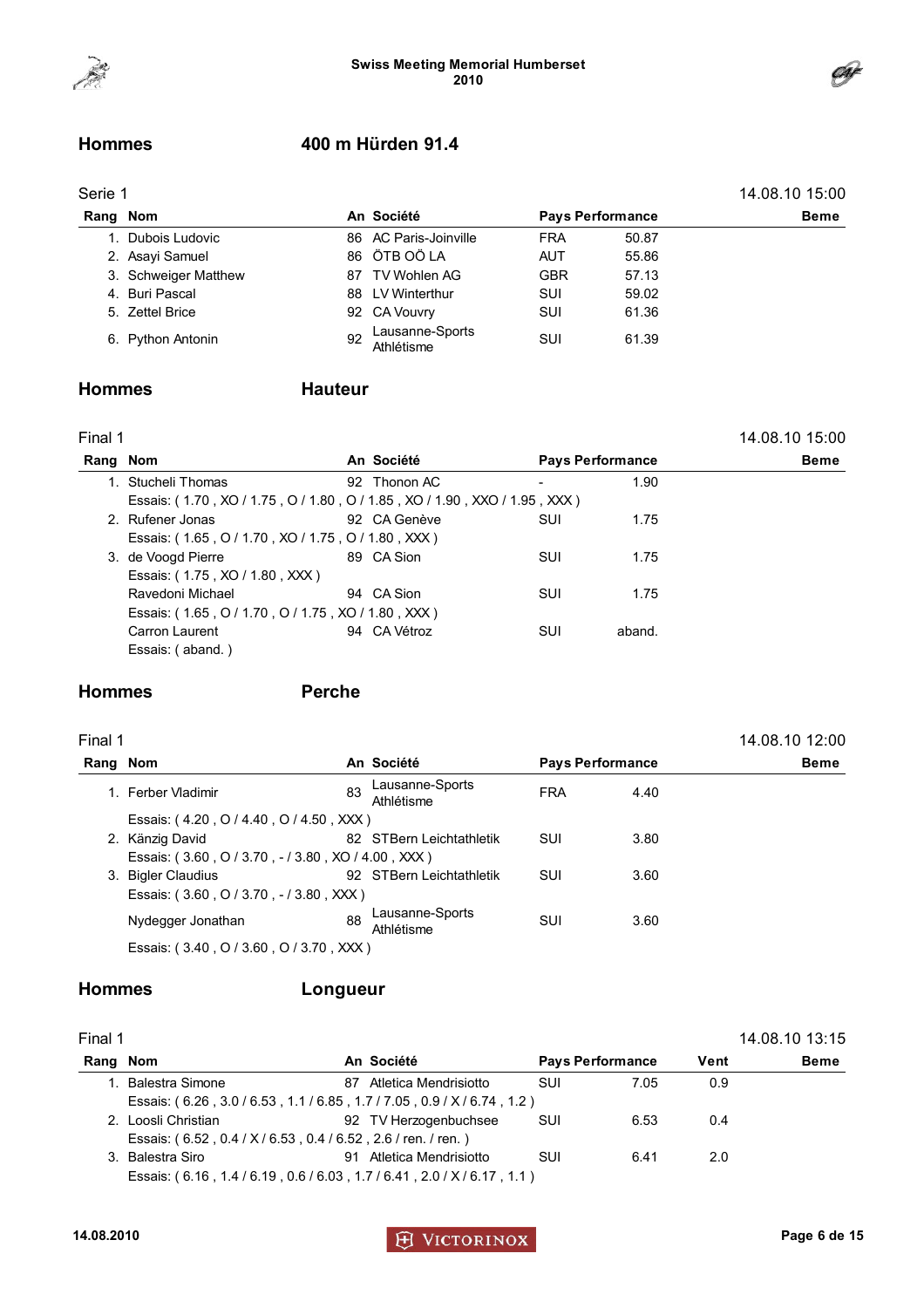

### Hommes 400 m Hürden 91.4

| erie |  |
|------|--|
|------|--|

| Serie 1  |                      |            |                               |            |                         |             |  |
|----------|----------------------|------------|-------------------------------|------------|-------------------------|-------------|--|
| Rang Nom |                      | An Société |                               |            | <b>Pays Performance</b> | <b>Beme</b> |  |
|          | 1. Dubois Ludovic    |            | 86 AC Paris-Joinville         | <b>FRA</b> | 50.87                   |             |  |
|          | 2. Asayi Samuel      |            | 86 ÖTB OÖ LA                  | <b>AUT</b> | 55.86                   |             |  |
|          | 3. Schweiger Matthew | 87.        | TV Wohlen AG                  | <b>GBR</b> | 57.13                   |             |  |
|          | 4. Buri Pascal       |            | 88 LV Winterthur              | <b>SUI</b> | 59.02                   |             |  |
|          | 5. Zettel Brice      |            | 92 CA Vouvry                  | <b>SUI</b> | 61.36                   |             |  |
|          | 6. Python Antonin    | 92         | Lausanne-Sports<br>Athlétisme | SUI        | 61.39                   |             |  |

### Hommes Hauteur

| . .<br>M. |  |
|-----------|--|
|           |  |

| inal 1 <sup>-</sup> |                                                                           |  |              |                         |        | 14.08.10 15:00 |
|---------------------|---------------------------------------------------------------------------|--|--------------|-------------------------|--------|----------------|
|                     | Rang Nom                                                                  |  | An Société   | <b>Pays Performance</b> |        | Beme           |
|                     | 1. Stucheli Thomas                                                        |  | 92 Thonon AC |                         | 1.90   |                |
|                     | Essais: (1.70, XO / 1.75, O / 1.80, O / 1.85, XO / 1.90, XXO / 1.95, XXX) |  |              |                         |        |                |
|                     | 2. Rufener Jonas                                                          |  | 92 CA Genève | SUI                     | 1.75   |                |
|                     | Essais: (1.65, O / 1.70, XO / 1.75, O / 1.80, XXX)                        |  |              |                         |        |                |
|                     | 3. de Voogd Pierre                                                        |  | 89 CA Sion   | SUI                     | 1.75   |                |
|                     | Essais: (1.75, XO / 1.80, XXX)                                            |  |              |                         |        |                |
|                     | Ravedoni Michael                                                          |  | 94 CA Sion   | SUI                     | 1.75   |                |
|                     | Essais: (1.65, O / 1.70, O / 1.75, XO / 1.80, XXX)                        |  |              |                         |        |                |
|                     | Carron Laurent                                                            |  | 94 CA Vétroz | SUI                     | aband. |                |
|                     | Essais: (aband.)                                                          |  |              |                         |        |                |
|                     |                                                                           |  |              |                         |        |                |

### Hommes Perche

| a sa<br>٠ |  |
|-----------|--|
|-----------|--|

| inal 1 <sup>-</sup> |                                                    |    |                               |            |                         | 14.08.10 12:00 |
|---------------------|----------------------------------------------------|----|-------------------------------|------------|-------------------------|----------------|
|                     | Rang Nom                                           |    | An Société                    |            | <b>Pays Performance</b> | <b>Beme</b>    |
|                     | 1. Ferber Vladimir                                 | 83 | Lausanne-Sports<br>Athlétisme | <b>FRA</b> | 4.40                    |                |
|                     | Essais: (4.20, O / 4.40, O / 4.50, XXX)            |    |                               |            |                         |                |
|                     | 2. Känzig David                                    |    | 82 STBern Leichtathletik      | SUI        | 3.80                    |                |
|                     | Essais: (3.60, O / 3.70, - / 3.80, XO / 4.00, XXX) |    |                               |            |                         |                |
|                     | 3. Bigler Claudius                                 |    | 92 STBern Leichtathletik      | SUI        | 3.60                    |                |
|                     | Essais: (3.60, O / 3.70, - / 3.80, XXX)            |    |                               |            |                         |                |
|                     | Nydegger Jonathan                                  | 88 | Lausanne-Sports<br>Athlétisme | SUI        | 3.60                    |                |
|                     | Essais: (3.40, O / 3.60, O / 3.70, XXX)            |    |                               |            |                         |                |

### Hommes Longueur

| . .<br>œ<br>٠ |
|---------------|
|---------------|

| Final 1  |                                                               |                             |                         |      |      | 14.08.10 13:15 |
|----------|---------------------------------------------------------------|-----------------------------|-------------------------|------|------|----------------|
| Rang Nom |                                                               | An Société                  | <b>Pays Performance</b> |      | Vent | <b>Beme</b>    |
|          | <b>Balestra Simone</b>                                        | 87 Atletica Mendrisiotto    | SUI                     | 7.05 | 0.9  |                |
|          | Essais: (6.26, 3.0/6.53, 1.1/6.85, 1.7/7.05, 0.9/X/6.74, 1.2) |                             |                         |      |      |                |
|          | 2. Loosli Christian                                           | 92 TV Herzogenbuchsee       | SUI                     | 6.53 | 0.4  |                |
|          | Essais: (6.52, 0.4 / X / 6.53, 0.4 / 6.52, 2.6 / ren. / ren.) |                             |                         |      |      |                |
| 3.       | Balestra Siro                                                 | Atletica Mendrisiotto<br>91 | SUI                     | 6.41 | 2.0  |                |
|          | Essais: (6.16, 1.4/6.19, 0.6/6.03, 1.7/6.41, 2.0/X/6.17, 1.1) |                             |                         |      |      |                |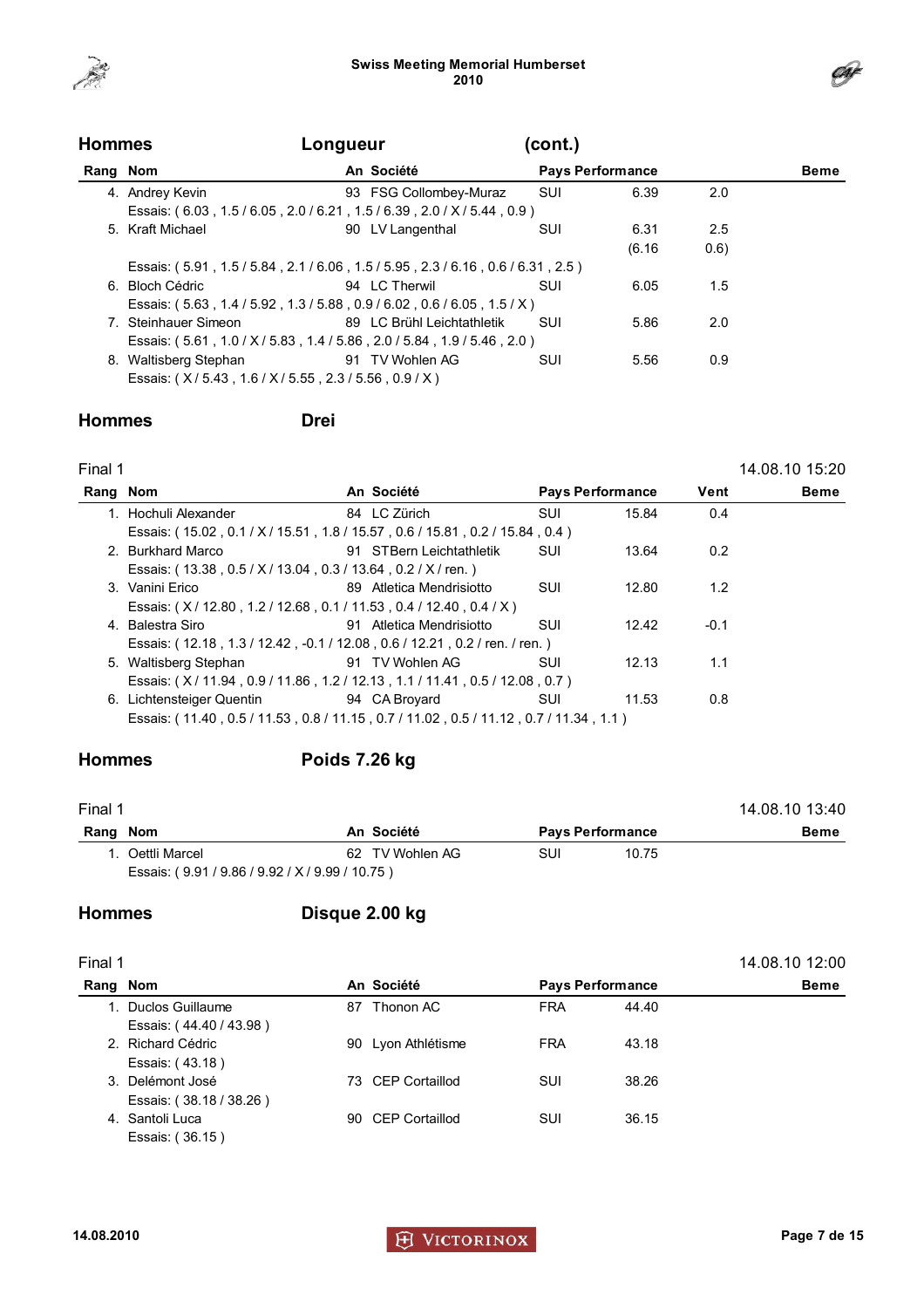



| <b>Hommes</b> |                                               | Longueur                                                                |            |                         |       |      |
|---------------|-----------------------------------------------|-------------------------------------------------------------------------|------------|-------------------------|-------|------|
| Rang Nom      |                                               | An Société                                                              |            | <b>Pays Performance</b> |       | Beme |
|               | 4. Andrey Kevin                               | 93 FSG Collombey-Muraz                                                  | SUI        | 6.39                    | 2.0   |      |
|               |                                               | Essais: (6.03, 1.5/6.05, 2.0/6.21, 1.5/6.39, 2.0/X/5.44, 0.9)           |            |                         |       |      |
|               | 5. Kraft Michael                              | 90 LV Langenthal                                                        | <b>SUI</b> | 6.31                    | 2.5   |      |
|               |                                               |                                                                         |            | (6.16)                  | (0.6) |      |
|               |                                               | Essais: (5.91, 1.5/5.84, 2.1/6.06, 1.5/5.95, 2.3/6.16, 0.6/6.31, 2.5)   |            |                         |       |      |
|               | 6. Bloch Cédric                               | 94 LC Therwil                                                           | SUI        | 6.05                    | 1.5   |      |
|               |                                               | Essais: (5.63, 1.4 / 5.92, 1.3 / 5.88, 0.9 / 6.02, 0.6 / 6.05, 1.5 / X) |            |                         |       |      |
|               | 7. Steinhauer Simeon                          | 89 LC Brühl Leichtathletik                                              | SUI        | 5.86                    | 2.0   |      |
|               |                                               | Essais: (5.61, 1.0 / X / 5.83, 1.4 / 5.86, 2.0 / 5.84, 1.9 / 5.46, 2.0) |            |                         |       |      |
|               | 8. Waltisberg Stephan                         | 91 TV Wohlen AG                                                         | SUI        | 5.56                    | 0.9   |      |
|               | Essais: (X/5.43, 1.6/X/5.55, 2.3/5.56, 0.9/X) |                                                                         |            |                         |       |      |

### Hommes Drei

| Final 1  |                                                                                       |                          |                         |       |        | 14.08.10 15:20 |
|----------|---------------------------------------------------------------------------------------|--------------------------|-------------------------|-------|--------|----------------|
| Rang Nom |                                                                                       | An Société               | <b>Pays Performance</b> |       | Vent   | <b>Beme</b>    |
|          | 1. Hochuli Alexander                                                                  | 84 LC Zürich             | <b>SUI</b>              | 15.84 | 0.4    |                |
|          | Essais: (15.02, 0.1 / X / 15.51, 1.8 / 15.57, 0.6 / 15.81, 0.2 / 15.84, 0.4)          |                          |                         |       |        |                |
|          | 2. Burkhard Marco                                                                     | 91 STBern Leichtathletik | <b>SUI</b>              | 13.64 | 0.2    |                |
|          | Essais: (13.38, 0.5 / X / 13.04, 0.3 / 13.64, 0.2 / X / ren.)                         |                          |                         |       |        |                |
|          | 3. Vanini Erico                                                                       | 89 Atletica Mendrisiotto | SUI                     | 12.80 | 1.2    |                |
|          | Essais: (X/12.80, 1.2/12.68, 0.1/11.53, 0.4/12.40, 0.4/X)                             |                          |                         |       |        |                |
|          | 4. Balestra Siro                                                                      | 91 Atletica Mendrisiotto | SUI                     | 12.42 | $-0.1$ |                |
|          | Essais: (12.18, 1.3 / 12.42, -0.1 / 12.08, 0.6 / 12.21, 0.2 / ren. / ren.)            |                          |                         |       |        |                |
|          | 5. Waltisberg Stephan                                                                 | 91 TV Wohlen AG          | SUI                     | 12.13 | 1.1    |                |
|          | Essais: (X/11.94, 0.9/11.86, 1.2/12.13, 1.1/11.41, 0.5/12.08, 0.7)                    |                          |                         |       |        |                |
|          | 6. Lichtensteiger Quentin                                                             | 94 CA Broyard            | <b>SUI</b>              | 11.53 | 0.8    |                |
|          | Essais: (11.40, 0.5 / 11.53, 0.8 / 11.15, 0.7 / 11.02, 0.5 / 11.12, 0.7 / 11.34, 1.1) |                          |                         |       |        |                |
|          |                                                                                       |                          |                         |       |        |                |

### Hommes Poids 7.26 kg

| Final 1  |                                       |                 |                         | 14.08.10 13:40 |
|----------|---------------------------------------|-----------------|-------------------------|----------------|
| Rang Nom |                                       | An Société      | <b>Pays Performance</b> | <b>Beme</b>    |
|          | . Oettli Marcel                       | 62 TV Wohlen AG | SUI<br>10.75            |                |
|          | Essais: (9.91/9.86/9.92/X/9.99/10.75) |                 |                         |                |

### Hommes Disque 2.00 kg

| Final 1 |                         |            |                    |                         |       |             |  |  |
|---------|-------------------------|------------|--------------------|-------------------------|-------|-------------|--|--|
| Rang    | Nom                     | An Société |                    | <b>Pays Performance</b> |       | <b>Beme</b> |  |  |
|         | Duclos Guillaume        | 87         | Thonon AC          | <b>FRA</b>              | 44.40 |             |  |  |
|         | Essais: (44.40 / 43.98) |            |                    |                         |       |             |  |  |
|         | 2. Richard Cédric       |            | 90 Lyon Athlétisme | <b>FRA</b>              | 43.18 |             |  |  |
|         | Essais: (43.18)         |            |                    |                         |       |             |  |  |
|         | 3. Delémont José        |            | 73 CEP Cortaillod  | SUI                     | 38.26 |             |  |  |
|         | Essais: (38.18 / 38.26) |            |                    |                         |       |             |  |  |
|         | 4. Santoli Luca         |            | 90 CEP Cortaillod  | SUI                     | 36.15 |             |  |  |
|         | Essais: (36.15)         |            |                    |                         |       |             |  |  |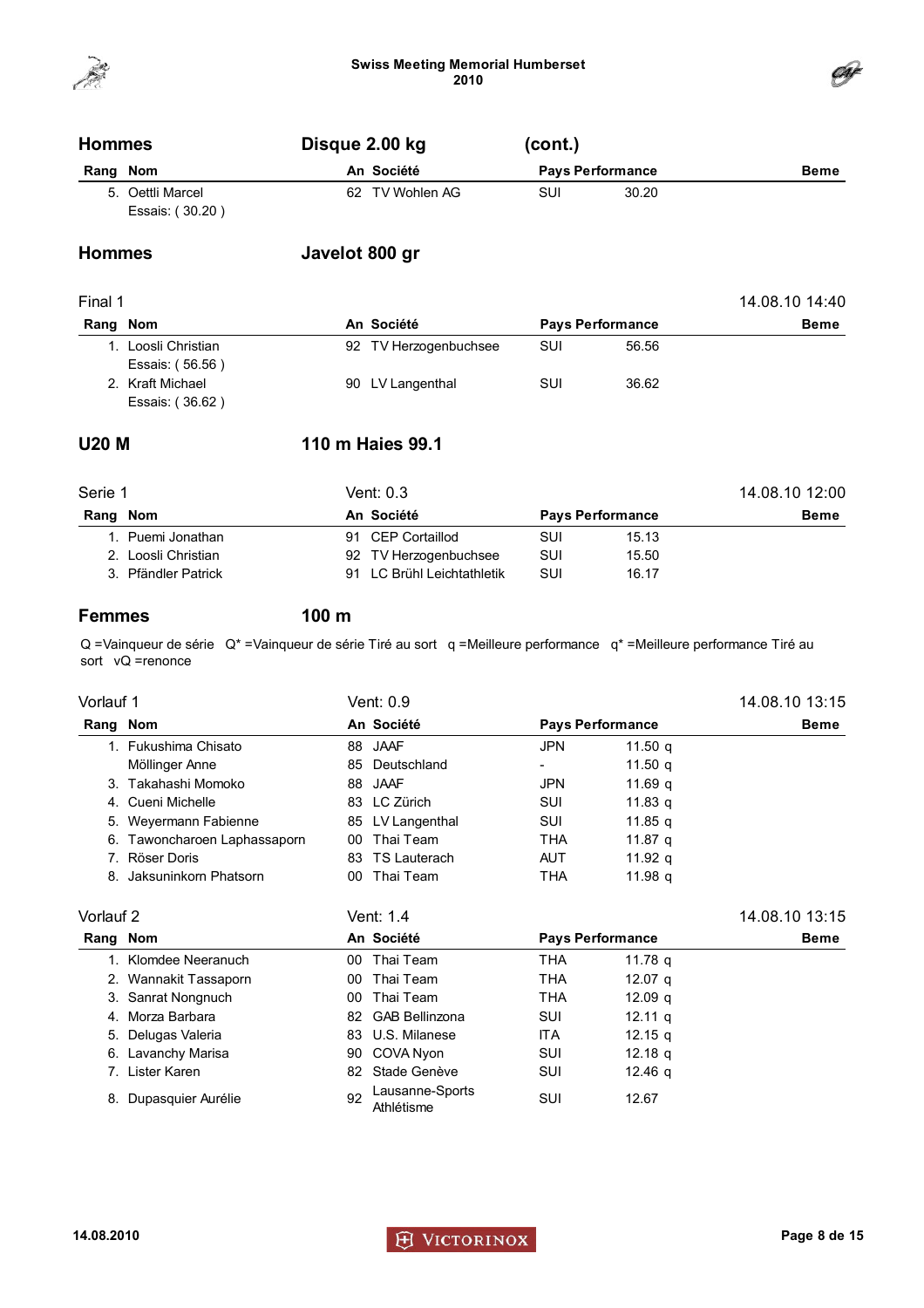



| <b>Hommes</b> |                                     | Disque 2.00 kg  | (cont.) |                         |             |  |
|---------------|-------------------------------------|-----------------|---------|-------------------------|-------------|--|
| Rang Nom      |                                     | An Société      |         | <b>Pays Performance</b> | <b>Beme</b> |  |
|               | 5. Oettli Marcel<br>Essais: (30.20) | 62 TV Wohlen AG | SUI     | 30.20                   |             |  |
| <b>Hommes</b> |                                     | Javelot 800 gr  |         |                         |             |  |

| Final 1     |                                     |                       |                         |       |             |  |  |
|-------------|-------------------------------------|-----------------------|-------------------------|-------|-------------|--|--|
| Nom<br>Rang |                                     | An Société            | <b>Pays Performance</b> |       | <b>Beme</b> |  |  |
|             | Loosli Christian<br>Essais: (56.56) | 92 TV Herzogenbuchsee | SUI                     | 56.56 |             |  |  |
|             | 2. Kraft Michael<br>Essais: (36.62) | 90 LV Langenthal      | SUI                     | 36.62 |             |  |  |

### U20 M 110 m Haies 99.1

| Serie 1             | Vent: 0.3                  |                         |       |             |  |  |  |
|---------------------|----------------------------|-------------------------|-------|-------------|--|--|--|
| Rang Nom            | An Société                 | <b>Pays Performance</b> |       | <b>Beme</b> |  |  |  |
| 1. Puemi Jonathan   | 91 CEP Cortaillod          | SUI                     | 15.13 |             |  |  |  |
| 2. Loosli Christian | 92 TV Herzogenbuchsee      | SUI                     | 15.50 |             |  |  |  |
| 3. Pfändler Patrick | 91 LC Brühl Leichtathletik | SUI                     | 16.17 |             |  |  |  |

Femmes 100 m

Q =Vainqueur de série Q\* =Vainqueur de série Tiré au sort q =Meilleure performance q\* =Meilleure performance Tiré au sort vQ =renonce

| Vorlauf 1 |                              |    | Vent: 0.9        |            |                         | 14.08.10 13:15 |  |
|-----------|------------------------------|----|------------------|------------|-------------------------|----------------|--|
| Rang Nom  |                              |    | An Société       |            | <b>Pays Performance</b> | <b>Beme</b>    |  |
|           | 1. Fukushima Chisato         |    | 88 JAAF          | <b>JPN</b> | 11.50 $q$               |                |  |
|           | Möllinger Anne               |    | 85 Deutschland   |            | 11.50 $q$               |                |  |
|           | 3. Takahashi Momoko          |    | 88 JAAF          | <b>JPN</b> | 11.69 a                 |                |  |
|           | 4. Cueni Michelle            |    | 83 LC Zürich     | SUI        | 11.83 g                 |                |  |
|           | 5. Weyermann Fabienne        |    | 85 LV Langenthal | SUI        | 11.85 g                 |                |  |
|           | 6. Tawoncharoen Laphassaporn | 00 | Thai Team        | <b>THA</b> | 11.87 g                 |                |  |
|           | 7. Röser Doris               |    | 83 TS Lauterach  | <b>AUT</b> | 11.92 $q$               |                |  |
|           | 8. Jaksuninkorn Phatsorn     | 00 | Thai Team        | <b>THA</b> | 11.98 g                 |                |  |
| Vorlauf 2 |                              |    | Vent: 1.4        |            |                         | 14.08.10 13:15 |  |

| Rang Nom |                       |    | An Société                    | <b>Pays Performance</b> |                    | <b>Beme</b> |
|----------|-----------------------|----|-------------------------------|-------------------------|--------------------|-------------|
|          | 1. Klomdee Neeranuch  | 00 | Thai Team                     | <b>THA</b>              | 11.78 g            |             |
|          | 2. Wannakit Tassaporn | 00 | Thai Team                     | <b>THA</b>              | 12.07 g            |             |
|          | 3. Sanrat Nongnuch    | 00 | Thai Team                     | <b>THA</b>              | 12.09 <sub>q</sub> |             |
|          | 4. Morza Barbara      | 82 | <b>GAB Bellinzona</b>         | SUI                     | $12.11 \text{ g}$  |             |
|          | 5. Delugas Valeria    |    | 83 U.S. Milanese              | <b>ITA</b>              | 12.15 $q$          |             |
|          | 6. Lavanchy Marisa    |    | 90 COVA Nyon                  | SUI                     | 12.18 <sub>q</sub> |             |
|          | 7. Lister Karen       | 82 | Stade Genève                  | SUI                     | 12.46 g            |             |
|          | 8. Dupasquier Aurélie | 92 | Lausanne-Sports<br>Athlétisme | SUI                     | 12.67              |             |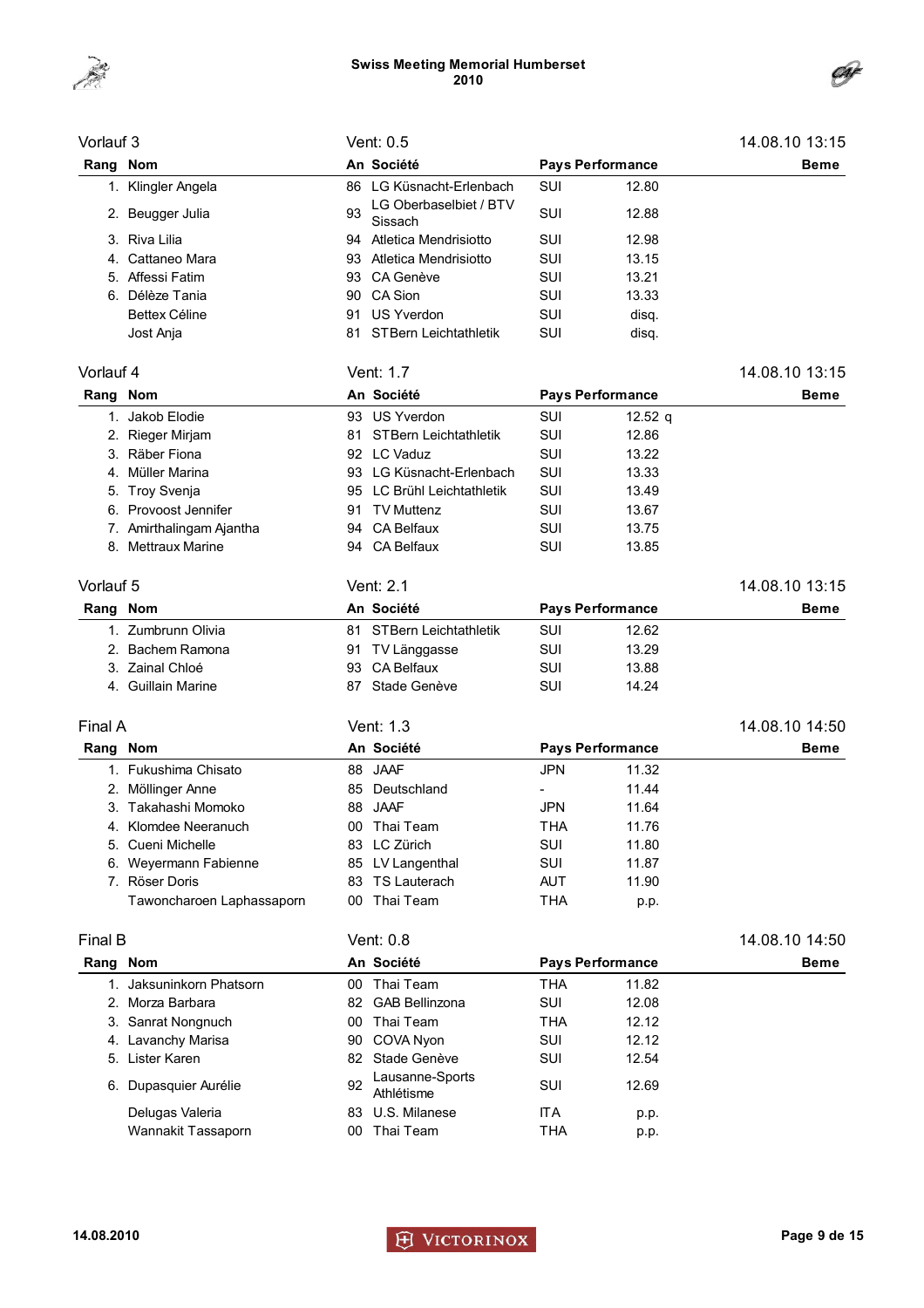



| Vorlauf 3 |                           |    | Vent: 0.5                         |            |                         | 14.08.10 13:15 |
|-----------|---------------------------|----|-----------------------------------|------------|-------------------------|----------------|
| Rang Nom  |                           |    | An Société                        |            | <b>Pays Performance</b> | <b>Beme</b>    |
|           | 1. Klingler Angela        | 86 | LG Küsnacht-Erlenbach             | <b>SUI</b> | 12.80                   |                |
|           | 2. Beugger Julia          | 93 | LG Oberbaselbiet / BTV<br>Sissach | SUI        | 12.88                   |                |
|           | 3. Riva Lilia             |    | 94 Atletica Mendrisiotto          | SUI        | 12.98                   |                |
|           | 4. Cattaneo Mara          |    | 93 Atletica Mendrisiotto          | SUI        | 13.15                   |                |
|           | 5. Affessi Fatim          | 93 | CA Genève                         | SUI        | 13.21                   |                |
|           | 6. Délèze Tania           | 90 | CA Sion                           | SUI        | 13.33                   |                |
|           | <b>Bettex Céline</b>      | 91 | <b>US Yverdon</b>                 | SUI        | disq.                   |                |
|           | Jost Anja                 | 81 | STBern Leichtathletik             | SUI        | disq.                   |                |
| Vorlauf 4 |                           |    | Vent: 1.7                         |            |                         | 14.08.10 13:15 |
| Rang Nom  |                           |    | An Société                        |            | <b>Pays Performance</b> | Beme           |
|           | 1. Jakob Elodie           |    | 93 US Yverdon                     | SUI        | 12.52 $q$               |                |
|           | 2. Rieger Mirjam          | 81 | <b>STBern Leichtathletik</b>      | <b>SUI</b> | 12.86                   |                |
|           | 3. Räber Fiona            |    | 92 LC Vaduz                       | <b>SUI</b> | 13.22                   |                |
|           | 4. Müller Marina          |    | 93 LG Küsnacht-Erlenbach          | SUI        | 13.33                   |                |
|           | 5. Troy Svenja            | 95 | LC Brühl Leichtathletik           | <b>SUI</b> | 13.49                   |                |
|           | 6. Provoost Jennifer      | 91 | <b>TV Muttenz</b>                 | <b>SUI</b> | 13.67                   |                |
|           | 7. Amirthalingam Ajantha  | 94 | <b>CA Belfaux</b>                 | <b>SUI</b> | 13.75                   |                |
|           | 8. Mettraux Marine        |    | 94 CA Belfaux                     | <b>SUI</b> | 13.85                   |                |
|           |                           |    |                                   |            |                         |                |
| Vorlauf 5 |                           |    | Vent: 2.1                         |            |                         | 14.08.10 13:15 |
| Rang Nom  |                           |    | An Société                        |            | <b>Pays Performance</b> | Beme           |
|           | 1. Zumbrunn Olivia        |    | 81 STBern Leichtathletik          | <b>SUI</b> | 12.62                   |                |
|           | 2. Bachem Ramona          |    | 91 TV Länggasse                   | SUI        | 13.29                   |                |
|           | 3. Zainal Chloé           |    | 93 CA Belfaux                     | <b>SUI</b> | 13.88                   |                |
|           | 4. Guillain Marine        | 87 | Stade Genève                      | SUI        | 14.24                   |                |
| Final A   |                           |    | Vent: 1.3                         |            |                         | 14.08.10 14:50 |
| Rang Nom  |                           |    | An Société                        |            | <b>Pays Performance</b> | <b>Beme</b>    |
|           | 1. Fukushima Chisato      |    | 88 JAAF                           | JPN        | 11.32                   |                |
|           | 2. Möllinger Anne         |    | 85 Deutschland                    |            | 11.44                   |                |
|           | 3. Takahashi Momoko       |    | 88 JAAF                           | JPN        | 11.64                   |                |
|           | 4. Klomdee Neeranuch      |    | 00 Thai Team                      | <b>THA</b> | 11.76                   |                |
|           | 5. Cueni Michelle         |    | 83 LC Zürich                      | SUI        | 11.80                   |                |
|           | 6. Weyermann Fabienne     |    | 85 LV Langenthal                  | SUI        | 11.87                   |                |
|           | 7. Röser Doris            |    | 83 TS Lauterach                   | <b>AUT</b> | 11.90                   |                |
|           | Tawoncharoen Laphassaporn |    | 00 Thai Team                      | <b>THA</b> | p.p.                    |                |
|           |                           |    |                                   |            |                         |                |
| Final B   |                           |    | Vent: 0.8                         |            |                         | 14.08.10 14:50 |
| Rang Nom  |                           |    | An Société                        |            | <b>Pays Performance</b> | Beme           |
|           | 1. Jaksuninkorn Phatsorn  |    | 00 Thai Team                      | <b>THA</b> | 11.82                   |                |
|           | 2. Morza Barbara          |    | 82 GAB Bellinzona                 | SUI        | 12.08                   |                |
|           | 3. Sanrat Nongnuch        |    | 00 Thai Team                      | <b>THA</b> | 12.12                   |                |
|           | 4. Lavanchy Marisa        | 90 | COVA Nyon                         | SUI        | 12.12                   |                |
|           | 5. Lister Karen           |    | 82 Stade Genève                   | SUI        | 12.54                   |                |
|           | 6. Dupasquier Aurélie     | 92 | Lausanne-Sports<br>Athlétisme     | SUI        | 12.69                   |                |
|           | Delugas Valeria           | 83 | U.S. Milanese                     | <b>ITA</b> | p.p.                    |                |
|           | Wannakit Tassaporn        |    | 00 Thai Team                      | <b>THA</b> | p.p.                    |                |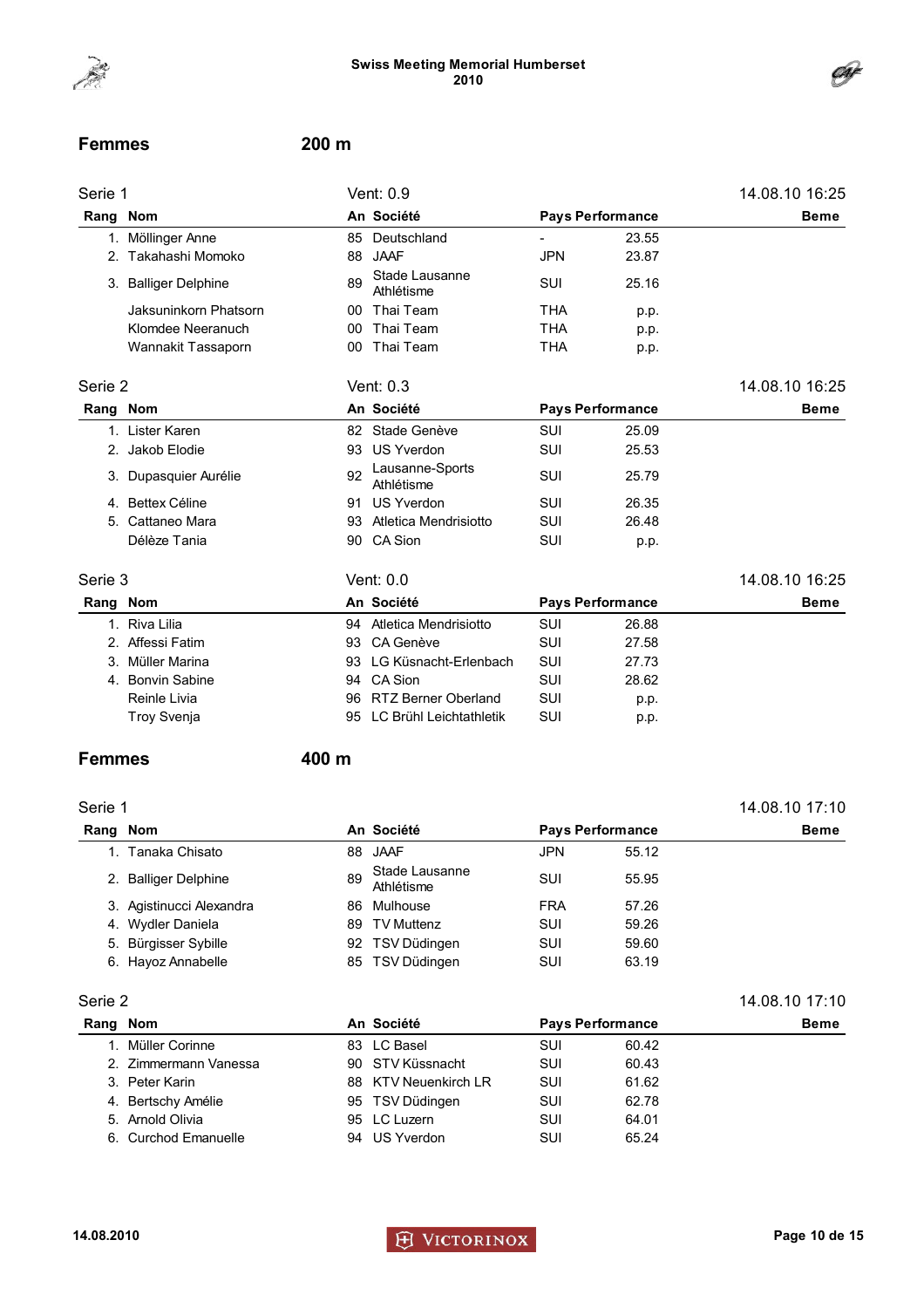

#### Femmes 200 m

| Serie 1  |                       |    | Vent: 0.9                     |            |                         | 14.08.10 16:25 |
|----------|-----------------------|----|-------------------------------|------------|-------------------------|----------------|
| Rang Nom |                       |    | An Société                    |            | <b>Pays Performance</b> | <b>Beme</b>    |
|          | 1. Möllinger Anne     | 85 | Deutschland                   |            | 23.55                   |                |
|          | 2. Takahashi Momoko   | 88 | <b>JAAF</b>                   | <b>JPN</b> | 23.87                   |                |
|          | 3. Balliger Delphine  | 89 | Stade Lausanne<br>Athlétisme  | SUI        | 25.16                   |                |
|          | Jaksuninkorn Phatsorn | 00 | Thai Team                     | <b>THA</b> | p.p.                    |                |
|          | Klomdee Neeranuch     | 00 | Thai Team                     | <b>THA</b> | p.p.                    |                |
|          | Wannakit Tassaporn    | 00 | Thai Team                     | <b>THA</b> | p.p.                    |                |
| Serie 2  |                       |    | Vent: 0.3                     |            |                         | 14.08.10 16:25 |
| Rang     | <b>Nom</b>            |    | An Société                    |            | <b>Pays Performance</b> | <b>Beme</b>    |
|          | 1. Lister Karen       | 82 | Stade Genève                  | <b>SUI</b> | 25.09                   |                |
|          | 2. Jakob Elodie       | 93 | <b>US Yverdon</b>             | SUI        | 25.53                   |                |
|          | 3. Dupasquier Aurélie | 92 | Lausanne-Sports<br>Athlétisme | SUI        | 25.79                   |                |
| 4.       | <b>Bettex Céline</b>  | 91 | <b>US Yverdon</b>             | SUI        | 26.35                   |                |
| 5.       | Cattaneo Mara         | 93 | Atletica Mendrisiotto         | <b>SUI</b> | 26.48                   |                |
|          | Délèze Tania          | 90 | CA Sion                       | SUI        | p.p.                    |                |
| Serie 3  |                       |    | Vent: 0.0                     |            |                         | 14.08.10 16:25 |
| Rang Nom |                       |    | An Société                    |            | <b>Pays Performance</b> | <b>Beme</b>    |
|          | 1. Riva Lilia         |    | 94 Atletica Mendrisiotto      | SUI        | 26.88                   |                |

| 2. Affessi Fatim | 93 CA Genève               | SUI | 27.58 |
|------------------|----------------------------|-----|-------|
| 3. Müller Marina | 93 LG Küsnacht-Erlenbach   | SUI | 27.73 |
| 4. Bonvin Sabine | 94 CA Sion                 | SUI | 28.62 |
| Reinle Livia     | 96 RTZ Berner Oberland     | SUI | p.p.  |
| Troy Svenja      | 95 LC Brühl Leichtathletik | SUI | p.p.  |
|                  |                            |     |       |

#### Femmes 400 m

### Serie 1 14.08.10 17:10 Rang Nom **An Société** Pays Performance Beme 1. Tanaka Chisato 88 JAAF JPN 55.12 2. Balliger Delphine 89 Stade Lausanne Athlétisme SUI 55.95 3. Agistinucci Alexandra 86 Mulhouse FRA 57.26 4. Wydler Daniela **89 TV Muttenz** SUI 59.26 5. Bürgisser Sybille **192 TSV Düdingen** SUI 59.60 6. Hayoz Annabelle **85 TSV Düdingen** SUI 63.19

#### Serie 2 14.08.10 17:10

| Rang Nom |                       | An Société           | <b>Pays Performance</b> |       | <b>Beme</b> |
|----------|-----------------------|----------------------|-------------------------|-------|-------------|
|          | 1. Müller Corinne     | 83 LC Basel          | SUI                     | 60.42 |             |
|          | 2. Zimmermann Vanessa | 90 STV Küssnacht     | SUI                     | 60.43 |             |
|          | 3. Peter Karin        | 88 KTV Neuenkirch LR | SUI                     | 61.62 |             |
|          | 4. Bertschy Amélie    | 95 TSV Düdingen      | SUI                     | 62.78 |             |
|          | 5. Arnold Olivia      | 95 LC Luzern         | SUI                     | 64.01 |             |
|          | 6. Curchod Emanuelle  | 94 US Yverdon        | SUI                     | 65.24 |             |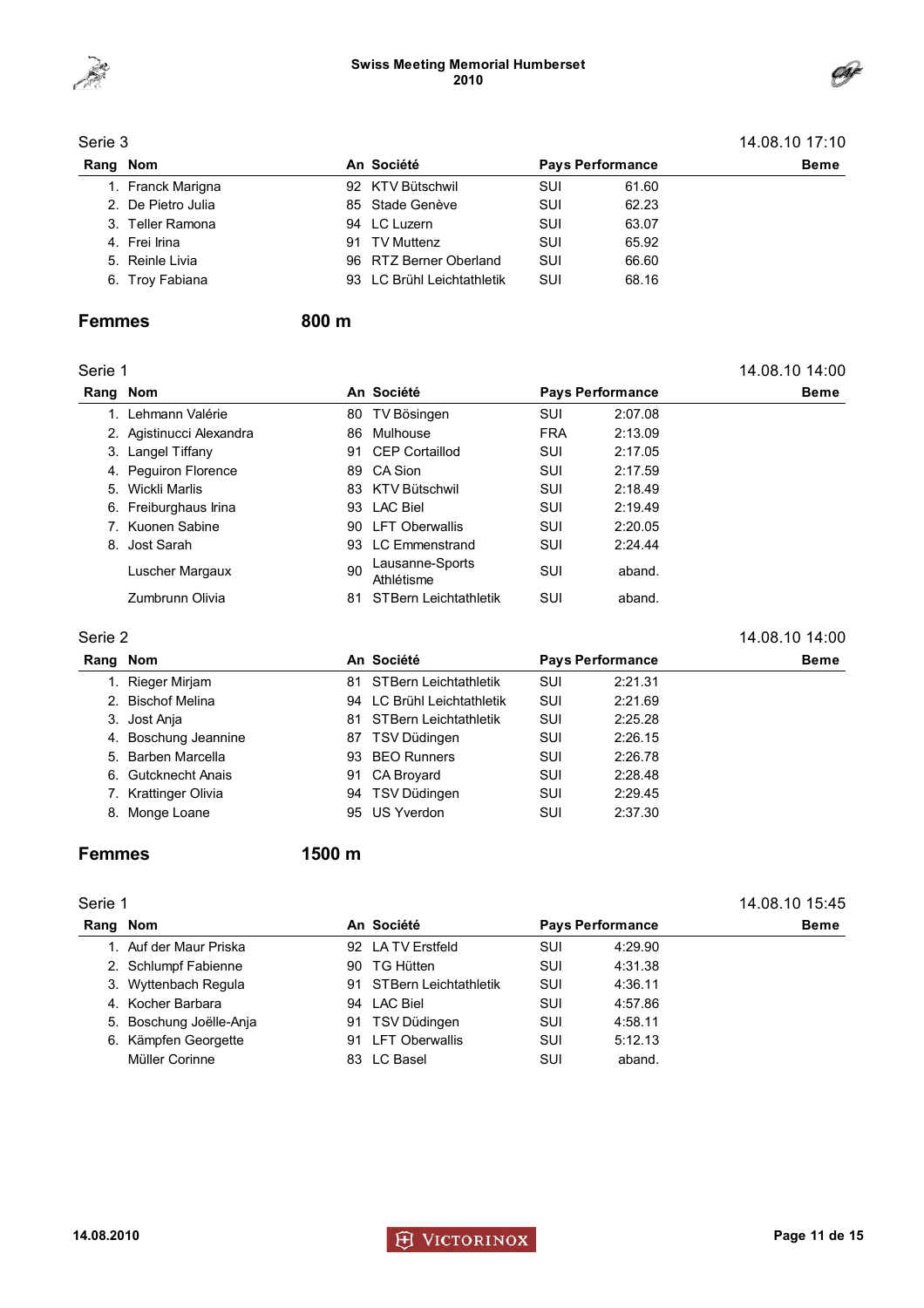



|          | Serie 3            |    |                            |            |                         |             |  |  |
|----------|--------------------|----|----------------------------|------------|-------------------------|-------------|--|--|
| Rang Nom |                    |    | An Société                 |            | <b>Pays Performance</b> | <b>Beme</b> |  |  |
|          | 1. Franck Marigna  |    | 92 KTV Bütschwil           | <b>SUI</b> | 61.60                   |             |  |  |
|          | 2. De Pietro Julia |    | 85 Stade Genève            | SUI        | 62.23                   |             |  |  |
|          | 3. Teller Ramona   |    | 94 LC Luzern               | <b>SUI</b> | 63.07                   |             |  |  |
|          | 4. Frei Irina      | 91 | TV Muttenz                 | <b>SUI</b> | 65.92                   |             |  |  |
|          | 5. Reinle Livia    |    | 96 RTZ Berner Oberland     | SUI        | 66.60                   |             |  |  |
|          | 6. Troy Fabiana    |    | 93 LC Brühl Leichtathletik | SUI        | 68.16                   |             |  |  |

### Femmes 800 m

| Serie 1 |                          |     |                               |                         |         | 14.08.10 14:00 |
|---------|--------------------------|-----|-------------------------------|-------------------------|---------|----------------|
| Rang    | <b>Nom</b>               |     | An Société                    | <b>Pays Performance</b> |         | <b>Beme</b>    |
|         | Lehmann Valérie          | 80. | TV Bösingen                   | SUI                     | 2:07.08 |                |
|         | 2. Agistinucci Alexandra | 86. | Mulhouse                      | <b>FRA</b>              | 2:13.09 |                |
|         | 3. Langel Tiffany        | 91  | <b>CEP Cortaillod</b>         | SUI                     | 2:17.05 |                |
|         | 4. Peguiron Florence     |     | 89 CA Sion                    | SUI                     | 2:17.59 |                |
|         | 5. Wickli Marlis         |     | 83 KTV Bütschwil              | SUI                     | 2:18.49 |                |
|         | 6. Freiburghaus Irina    |     | 93 LAC Biel                   | SUI                     | 2:19.49 |                |
| 7.      | Kuonen Sabine            |     | 90 LFT Oberwallis             | SUI                     | 2:20.05 |                |
|         | 8. Jost Sarah            |     | 93 LC Emmenstrand             | SUI                     | 2:24.44 |                |
|         | Luscher Margaux          | 90  | Lausanne-Sports<br>Athlétisme | SUI                     | aband.  |                |
|         | Zumbrunn Olivia          | 81  | <b>STBern Leichtathletik</b>  | SUI                     | aband.  |                |
|         |                          |     |                               |                         |         |                |

### Serie 2 14.08.10 14:00

| Rang Nom |                      |    | An Société                 | <b>Pays Performance</b> |         | <b>Beme</b> |
|----------|----------------------|----|----------------------------|-------------------------|---------|-------------|
|          | Rieger Mirjam        | 81 | STBern Leichtathletik      | SUI                     | 2:21.31 |             |
|          | 2. Bischof Melina    |    | 94 LC Brühl Leichtathletik | SUI                     | 2:21.69 |             |
|          | 3. Jost Anja         | 81 | STBern Leichtathletik      | SUI                     | 2:25.28 |             |
|          | 4. Boschung Jeannine |    | 87 TSV Düdingen            | SUI                     | 2:26.15 |             |
|          | 5. Barben Marcella   |    | 93 BEO Runners             | SUI                     | 2:26.78 |             |
|          | 6. Gutcknecht Anais  | 91 | CA Broyard                 | SUI                     | 2:28.48 |             |
|          | 7. Krattinger Olivia |    | 94 TSV Düdingen            | SUI                     | 2:29.45 |             |
|          | 8. Monge Loane       |    | 95 US Yverdon              | SUI                     | 2:37.30 |             |

### Femmes 1500 m

#### Serie 1 14.08.10 15:45

| Rang Nom |                         |    | An Société               |            | <b>Pays Performance</b> | <b>Beme</b> |
|----------|-------------------------|----|--------------------------|------------|-------------------------|-------------|
|          | 1. Auf der Maur Priska  |    | 92 LA TV Erstfeld        | <b>SUI</b> | 4:29.90                 |             |
|          | 2. Schlumpf Fabienne    | 90 | TG Hütten                | SUI        | 4:31.38                 |             |
|          | 3. Wyttenbach Regula    |    | 91 STBern Leichtathletik | <b>SUI</b> | 4:36.11                 |             |
|          | 4. Kocher Barbara       |    | 94 LAC Biel              | <b>SUI</b> | 4:57.86                 |             |
|          | 5. Boschung Joëlle-Anja | 91 | TSV Düdingen             | <b>SUI</b> | 4:58.11                 |             |
|          | 6. Kämpfen Georgette    | 91 | LFT Oberwallis           | <b>SUI</b> | 5:12.13                 |             |
|          | Müller Corinne          |    | 83 LC Basel              | SUI        | aband.                  |             |

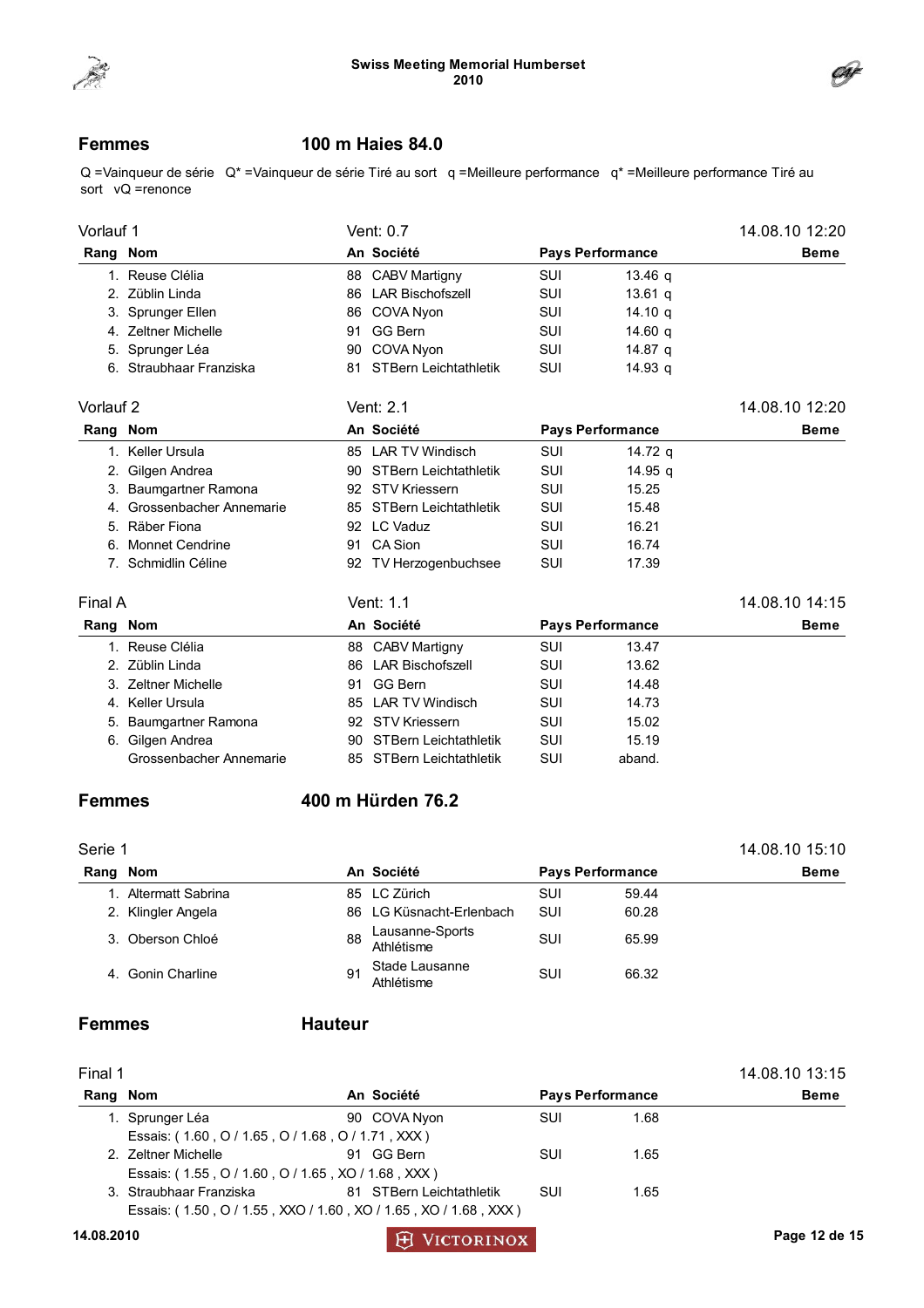



### Femmes 100 m Haies 84.0

Q =Vainqueur de série Q\* =Vainqueur de série Tiré au sort q =Meilleure performance q\* =Meilleure performance Tiré au sort vQ =renonce

| Vorlauf 1 |                            |    | Vent: 0.7                |            |                         | 14.08.10 12:20 |
|-----------|----------------------------|----|--------------------------|------------|-------------------------|----------------|
| Rang Nom  |                            |    | An Société               |            | <b>Pays Performance</b> | <b>Beme</b>    |
|           | 1. Reuse Clélia            |    | 88 CABV Martigny         | <b>SUI</b> | 13.46 q                 |                |
|           | 2. Züblin Linda            |    | 86 LAR Bischofszell      | <b>SUI</b> | $13.61$ q               |                |
|           | 3. Sprunger Ellen          |    | 86 COVA Nyon             | <b>SUI</b> | 14.10 <sub>a</sub>      |                |
|           | 4. Zeltner Michelle        |    | 91 GG Bern               | SUI        | 14.60 $q$               |                |
|           | 5. Sprunger Léa            |    | 90 COVA Nyon             | SUI        | 14.87 q                 |                |
|           | 6. Straubhaar Franziska    |    | 81 STBern Leichtathletik | <b>SUI</b> | 14.93 a                 |                |
| Vorlauf 2 |                            |    | Vent: 2.1                |            |                         | 14.08.10 12:20 |
| Rang Nom  |                            |    | An Société               |            | <b>Pays Performance</b> | <b>Beme</b>    |
|           | 1. Keller Ursula           |    | 85 LAR TV Windisch       | SUI        | 14.72 $q$               |                |
|           | 2. Gilgen Andrea           |    | 90 STBern Leichtathletik | SUI        | 14.95 q                 |                |
|           | 3. Baumgartner Ramona      |    | 92 STV Kriessern         | <b>SUI</b> | 15.25                   |                |
|           | 4. Grossenbacher Annemarie |    | 85 STBern Leichtathletik | SUI        | 15.48                   |                |
|           | 5. Räber Fiona             |    | 92 LC Vaduz              | <b>SUI</b> | 16.21                   |                |
|           | 6. Monnet Cendrine         |    | 91 CA Sion               | <b>SUI</b> | 16.74                   |                |
|           | 7. Schmidlin Céline        |    | 92 TV Herzogenbuchsee    | SUI        | 17.39                   |                |
| Final A   |                            |    | Vent: 1.1                |            |                         | 14.08.10 14:15 |
| Rang      | <b>Nom</b>                 |    | An Société               |            | <b>Pays Performance</b> | <b>Beme</b>    |
|           | 1. Reuse Clélia            |    | 88 CABV Martigny         | SUI        | 13.47                   |                |
|           | 2. Züblin Linda            |    | 86 LAR Bischofszell      | SUI        | 13.62                   |                |
|           | 3. Zeltner Michelle        | 91 | <b>GG Bern</b>           | SUI        | 14.48                   |                |
|           | 4. Keller Ursula           |    | 85 LAR TV Windisch       | SUI        | 14.73                   |                |
|           | 5. Baumgartner Ramona      |    | 92 STV Kriessern         | SUI        | 15.02                   |                |
|           | 6. Gilgen Andrea           |    | 90 STBern Leichtathletik | SUI        | 15.19                   |                |
|           | Grossenbacher Annemarie    |    | 85 STBern Leichtathletik | SUI        | aband.                  |                |
| Femmes    |                            |    | 400 m Hürden 76.2        |            |                         |                |
| Serie 1   |                            |    |                          |            |                         | 14.08.10 15:10 |
| Rang Nom  |                            |    | An Société               |            | <b>Pays Performance</b> | <b>Beme</b>    |
|           | 1. Altermatt Sabrina       |    | 85 LC Zürich             | SUI        | 59.44                   |                |
|           |                            |    |                          |            |                         |                |

2. Klingler Angela 86 LG Küsnacht-Erlenbach SUI 60.28 3. Oberson Chloé 88 Lausanne-Sports Athlétisme SUI 65.99 4. Gonin Charline 91 Stade Lausanne Athlétisme SUI 66.32

### Femmes Hauteur

| Final 1  |                                                                 |  |                          | 14.08.10 13:15 |                         |             |
|----------|-----------------------------------------------------------------|--|--------------------------|----------------|-------------------------|-------------|
| Rang Nom |                                                                 |  | An Société               |                | <b>Pays Performance</b> | <b>Beme</b> |
|          | 1. Sprunger Léa                                                 |  | 90 COVA Nyon             | <b>SUI</b>     | 1.68                    |             |
|          | Essais: (1.60, O / 1.65, O / 1.68, O / 1.71, XXX)               |  |                          |                |                         |             |
|          | 2. Zeltner Michelle                                             |  | 91 GG Bern               | SUI            | 1.65                    |             |
|          | Essais: (1.55, 0/1.60, 0/1.65, XO/1.68, XXX)                    |  |                          |                |                         |             |
|          | 3. Straubhaar Franziska                                         |  | 81 STBern Leichtathletik | SUI            | 1.65                    |             |
|          | Essais: (1.50, O / 1.55, XXO / 1.60, XO / 1.65, XO / 1.68, XXX) |  |                          |                |                         |             |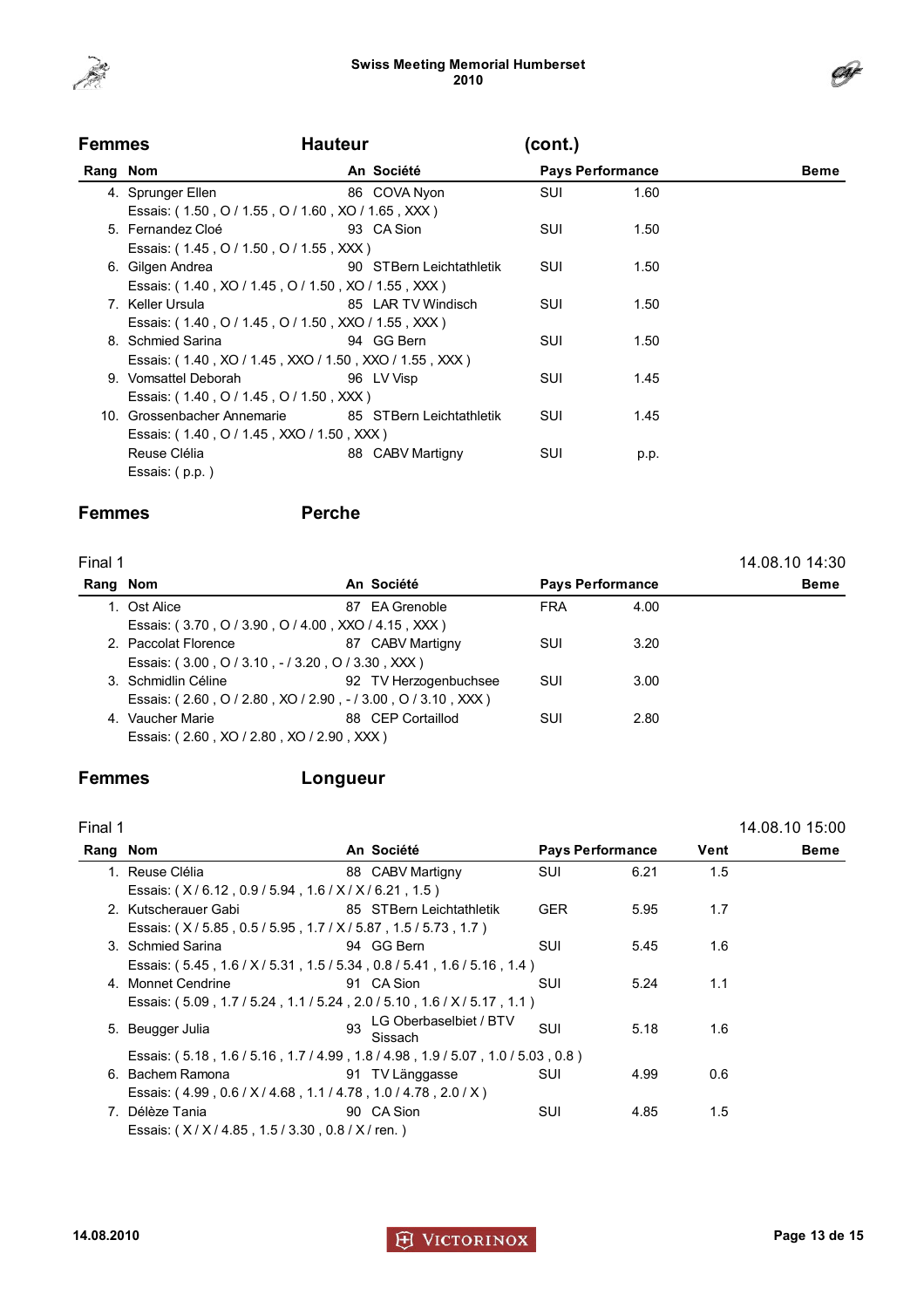

| <b>Femmes</b> |                                                        | <b>Hauteur</b> |                          | (cont.)    |                         |             |  |
|---------------|--------------------------------------------------------|----------------|--------------------------|------------|-------------------------|-------------|--|
| Rang Nom      |                                                        |                | An Société               |            | <b>Pays Performance</b> | <b>Beme</b> |  |
|               | 4. Sprunger Ellen                                      |                | 86 COVA Nyon             | <b>SUI</b> | 1.60                    |             |  |
|               | Essais: (1.50, O / 1.55, O / 1.60, XO / 1.65, XXX)     |                |                          |            |                         |             |  |
|               | 5. Fernandez Cloé                                      |                | 93 CA Sion               | <b>SUI</b> | 1.50                    |             |  |
|               | Essais: (1.45, O / 1.50, O / 1.55, XXX)                |                |                          |            |                         |             |  |
|               | 6. Gilgen Andrea                                       |                | 90 STBern Leichtathletik | SUI        | 1.50                    |             |  |
|               | Essais: (1.40, XO / 1.45, O / 1.50, XO / 1.55, XXX)    |                |                          |            |                         |             |  |
|               | 7. Keller Ursula                                       |                | 85 LAR TV Windisch       | SUI        | 1.50                    |             |  |
|               | Essais: (1.40, O / 1.45, O / 1.50, XXO / 1.55, XXX)    |                |                          |            |                         |             |  |
|               | 8. Schmied Sarina                                      |                | 94 GG Bern               | SUI        | 1.50                    |             |  |
|               | Essais: (1.40, XO / 1.45, XXO / 1.50, XXO / 1.55, XXX) |                |                          |            |                         |             |  |
|               | 9. Vomsattel Deborah                                   |                | 96 LV Visp               | SUI        | 1.45                    |             |  |
|               | Essais: (1.40, O / 1.45, O / 1.50, XXX)                |                |                          |            |                         |             |  |
|               | 10. Grossenbacher Annemarie                            |                | 85 STBern Leichtathletik | SUI        | 1.45                    |             |  |
|               | Essais: (1.40, O / 1.45, XXO / 1.50, XXX)              |                |                          |            |                         |             |  |
|               | Reuse Clélia                                           | 88             | CABV Martigny            | SUI        | p.p.                    |             |  |
|               | Essais: (p.p.)                                         |                |                          |            |                         |             |  |

### Femmes Perche

| Final 1  |                                                              |                       |                         |      | 14.08.10 14:30 |
|----------|--------------------------------------------------------------|-----------------------|-------------------------|------|----------------|
| Rang Nom |                                                              | An Société            | <b>Pays Performance</b> |      | <b>Beme</b>    |
|          | 1. Ost Alice                                                 | 87 EA Grenoble        | <b>FRA</b>              | 4.00 |                |
|          | Essais: (3.70, O / 3.90, O / 4.00, XXO / 4.15, XXX)          |                       |                         |      |                |
|          | 2. Paccolat Florence                                         | 87 CABV Martigny      | SUI                     | 3.20 |                |
|          | Essais: (3.00, O / 3.10, - / 3.20, O / 3.30, XXX)            |                       |                         |      |                |
|          | 3. Schmidlin Céline                                          | 92 TV Herzogenbuchsee | SUI                     | 3.00 |                |
|          | Essais: (2.60, O / 2.80, XO / 2.90, - / 3.00, O / 3.10, XXX) |                       |                         |      |                |
|          | 4. Vaucher Marie                                             | 88 CEP Cortaillod     | SUI                     | 2.80 |                |
|          | Essais: (2.60, XO / 2.80, XO / 2.90, XXX)                    |                       |                         |      |                |

### Femmes Longueur

| Final 1  |                                                                         |    |                                   |                         |      |               | 14.08.10 15:00 |
|----------|-------------------------------------------------------------------------|----|-----------------------------------|-------------------------|------|---------------|----------------|
| Rang Nom |                                                                         |    | An Société                        | <b>Pays Performance</b> |      | Vent          | Beme           |
|          | 1. Reuse Clélia                                                         |    | 88 CABV Martigny                  | SUI                     | 6.21 | $1.5^{\circ}$ |                |
|          | Essais: (X/6.12, 0.9/5.94, 1.6/X/X/6.21, 1.5)                           |    |                                   |                         |      |               |                |
|          | 2. Kutscherauer Gabi                                                    |    | 85 STBern Leichtathletik          | <b>GER</b>              | 5.95 | 1.7           |                |
|          | Essais: (X/5.85, 0.5/5.95, 1.7/X/5.87, 1.5/5.73, 1.7)                   |    |                                   |                         |      |               |                |
|          | 3. Schmied Sarina                                                       |    | 94 GG Bern                        | SUI                     | 5.45 | 1.6           |                |
|          | Essais: (5.45, 1.6 / X / 5.31, 1.5 / 5.34, 0.8 / 5.41, 1.6 / 5.16, 1.4) |    |                                   |                         |      |               |                |
|          | 4. Monnet Cendrine                                                      |    | 91 CA Sion                        | <b>SUI</b>              | 5.24 | 1.1           |                |
|          | Essais: (5.09, 1.7 / 5.24, 1.1 / 5.24, 2.0 / 5.10, 1.6 / X / 5.17, 1.1) |    |                                   |                         |      |               |                |
|          | 5. Beugger Julia                                                        | 93 | LG Oberbaselbiet / BTV<br>Sissach | SUI                     | 5.18 | 1.6           |                |
|          | Essais: (5.18, 1.6/5.16, 1.7/4.99, 1.8/4.98, 1.9/5.07, 1.0/5.03, 0.8)   |    |                                   |                         |      |               |                |
|          | 6. Bachem Ramona                                                        |    | 91 TV Länggasse                   | SUI                     | 4.99 | 0.6           |                |
|          | Essais: (4.99, 0.6 / X / 4.68, 1.1 / 4.78, 1.0 / 4.78, 2.0 / X)         |    |                                   |                         |      |               |                |
|          | 7. Délèze Tania                                                         |    | 90 CA Sion                        | SUI                     | 4.85 | 1.5           |                |
|          | Essais: (X/X/4.85, 1.5/3.30, 0.8/X/ren.)                                |    |                                   |                         |      |               |                |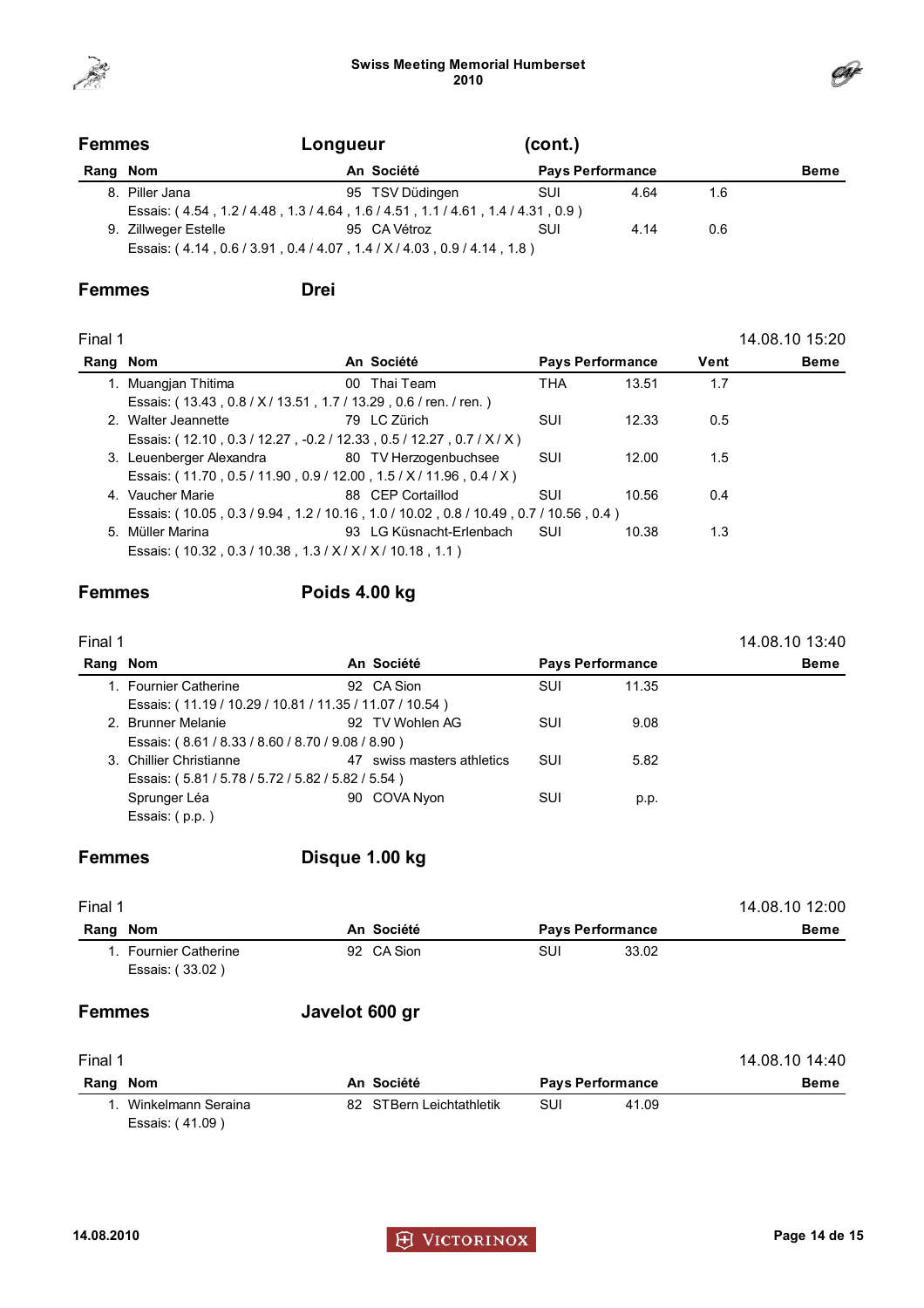



| <b>Femmes</b> |                      | Longueur                                                                | (cont.)    |                         |     |             |
|---------------|----------------------|-------------------------------------------------------------------------|------------|-------------------------|-----|-------------|
| Rang Nom      |                      | An Société                                                              |            | <b>Pays Performance</b> |     | <b>Beme</b> |
|               | 8. Piller Jana       | 95 TSV Düdingen                                                         | <b>SUI</b> | 4.64                    | 1.6 |             |
|               |                      | Essais: (4.54, 1.2/4.48, 1.3/4.64, 1.6/4.51, 1.1/4.61, 1.4/4.31, 0.9)   |            |                         |     |             |
|               | 9. Zillweger Estelle | 95 CA Vétroz                                                            | SUI        | 4.14                    | 0.6 |             |
|               |                      | Essais: (4.14, 0.6 / 3.91, 0.4 / 4.07, 1.4 / X / 4.03, 0.9 / 4.14, 1.8) |            |                         |     |             |

### Femmes Drei

| Final 1  |                                                                            |                          |                         |       |      | 14.08.10 15:20 |
|----------|----------------------------------------------------------------------------|--------------------------|-------------------------|-------|------|----------------|
| Rang Nom |                                                                            | An Société               | <b>Pays Performance</b> |       | Vent | <b>Beme</b>    |
|          | 1. Muangjan Thitima                                                        | 00 Thai Team             | <b>THA</b>              | 13.51 | 1.7  |                |
|          | Essais: (13.43, 0.8 / X / 13.51, 1.7 / 13.29, 0.6 / ren. / ren.)           |                          |                         |       |      |                |
|          | 2. Walter Jeannette                                                        | 79 LC Zürich             | SUI                     | 12.33 | 0.5  |                |
|          | Essais: (12.10, 0.3 / 12.27, -0.2 / 12.33, 0.5 / 12.27, 0.7 / X / X)       |                          |                         |       |      |                |
|          | 3. Leuenberger Alexandra 60 TV Herzogenbuchsee                             |                          | SUI                     | 12.00 | 1.5  |                |
|          | Essais: (11.70, 0.5/11.90, 0.9/12.00, 1.5/X/11.96, 0.4/X)                  |                          |                         |       |      |                |
|          | 4. Vaucher Marie                                                           | 88 CEP Cortaillod        | SUI                     | 10.56 | 0.4  |                |
|          | Essais: (10.05, 0.3/9.94, 1.2/10.16, 1.0/10.02, 0.8/10.49, 0.7/10.56, 0.4) |                          |                         |       |      |                |
|          | 5. Müller Marina                                                           | 93 LG Küsnacht-Erlenbach | – SUI                   | 10.38 | 1.3  |                |
|          | Essais: (10.32, 0.3/10.38, 1.3/X/X/X/10.18, 1.1)                           |                          |                         |       |      |                |
|          |                                                                            |                          |                         |       |      |                |

### Femmes Poids 4.00 kg

| Final 1  |                                                         |  |                            |                         |       | 14.08.10 13:40 |
|----------|---------------------------------------------------------|--|----------------------------|-------------------------|-------|----------------|
| Rang Nom |                                                         |  | An Société                 | <b>Pays Performance</b> |       | <b>Beme</b>    |
|          | 1. Fournier Catherine                                   |  | 92 CA Sion                 | <b>SUI</b>              | 11.35 |                |
|          | Essais: (11.19 / 10.29 / 10.81 / 11.35 / 11.07 / 10.54) |  |                            |                         |       |                |
|          | 2. Brunner Melanie                                      |  | 92 TV Wohlen AG            | SUI                     | 9.08  |                |
|          | Essais: (8.61/8.33/8.60/8.70/9.08/8.90)                 |  |                            |                         |       |                |
|          | 3. Chillier Christianne                                 |  | 47 swiss masters athletics | SUI                     | 5.82  |                |
|          | Essais: (5.81/5.78/5.72/5.82/5.82/5.54)                 |  |                            |                         |       |                |
|          | Sprunger Léa                                            |  | 90 COVA Nyon               | SUI                     | p.p.  |                |
|          | Essais: (p.p.)                                          |  |                            |                         |       |                |
|          |                                                         |  |                            |                         |       |                |

### Femmes Disque 1.00 kg

| Final 1                                  | 14.08.10 12:00 |                         |             |  |
|------------------------------------------|----------------|-------------------------|-------------|--|
| Nom<br>Rang                              | An Société     | <b>Pays Performance</b> | <b>Beme</b> |  |
| 1. Fournier Catherine<br>Essais: (33.02) | 92 CA Sion     | SUI                     | 33.02       |  |
| <b>Femmes</b>                            | Javelot 600 gr |                         |             |  |

| Final 1  | 14.08.10 14:40                           |                          |                         |       |             |
|----------|------------------------------------------|--------------------------|-------------------------|-------|-------------|
| Rang Nom |                                          | An Société               | <b>Pays Performance</b> |       | <b>Beme</b> |
|          | 1. Winkelmann Seraina<br>Essais: (41.09) | 82 STBern Leichtathletik | SUI                     | 41.09 |             |